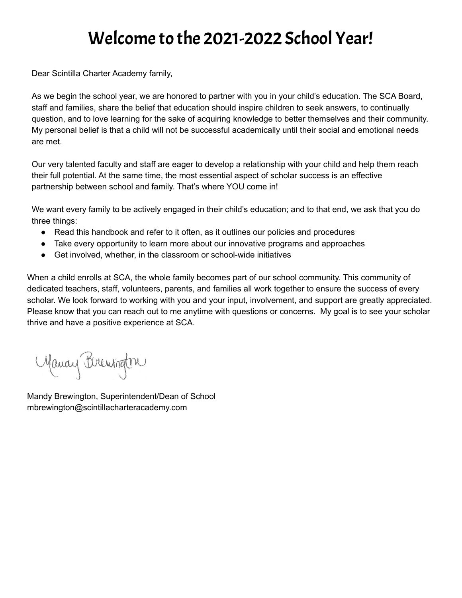## Welcome to the 2021-2022 School Year!

Dear Scintilla Charter Academy family,

As we begin the school year, we are honored to partner with you in your child's education. The SCA Board, staff and families, share the belief that education should inspire children to seek answers, to continually question, and to love learning for the sake of acquiring knowledge to better themselves and their community. My personal belief is that a child will not be successful academically until their social and emotional needs are met.

Our very talented faculty and staff are eager to develop a relationship with your child and help them reach their full potential. At the same time, the most essential aspect of scholar success is an effective partnership between school and family. That's where YOU come in!

We want every family to be actively engaged in their child's education; and to that end, we ask that you do three things:

- Read this handbook and refer to it often, as it outlines our policies and procedures
- Take every opportunity to learn more about our innovative programs and approaches
- Get involved, whether, in the classroom or school-wide initiatives

When a child enrolls at SCA, the whole family becomes part of our school community. This community of dedicated teachers, staff, volunteers, parents, and families all work together to ensure the success of every scholar. We look forward to working with you and your input, involvement, and support are greatly appreciated. Please know that you can reach out to me anytime with questions or concerns. My goal is to see your scholar thrive and have a positive experience at SCA.

Manay Brewington

Mandy Brewington, Superintendent/Dean of School mbrewington@scintillacharteracademy.com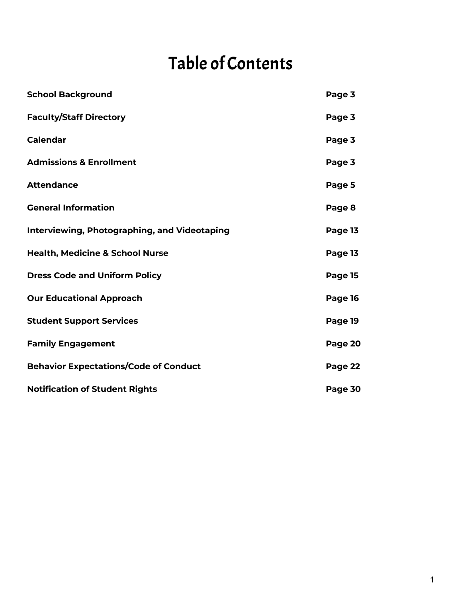## Table of Contents

| <b>School Background</b>                            | Page 3  |
|-----------------------------------------------------|---------|
| <b>Faculty/Staff Directory</b>                      | Page 3  |
| <b>Calendar</b>                                     | Page 3  |
| <b>Admissions &amp; Enrollment</b>                  | Page 3  |
| <b>Attendance</b>                                   | Page 5  |
| <b>General Information</b>                          | Page 8  |
| <b>Interviewing, Photographing, and Videotaping</b> | Page 13 |
| <b>Health, Medicine &amp; School Nurse</b>          | Page 13 |
| <b>Dress Code and Uniform Policy</b>                | Page 15 |
| <b>Our Educational Approach</b>                     | Page 16 |
| <b>Student Support Services</b>                     | Page 19 |
| <b>Family Engagement</b>                            | Page 20 |
| <b>Behavior Expectations/Code of Conduct</b>        | Page 22 |
| <b>Notification of Student Rights</b>               | Page 30 |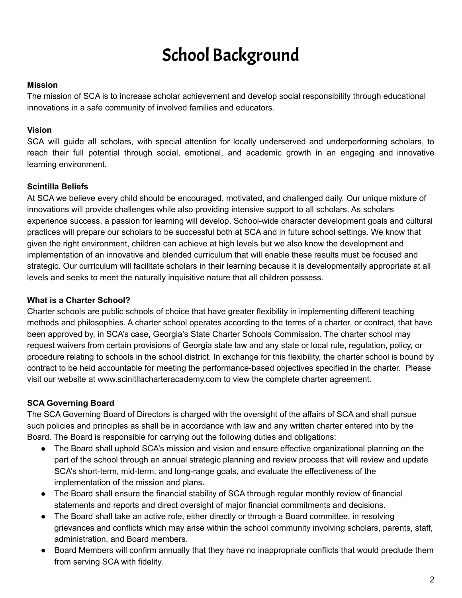## School Background

#### **Mission**

The mission of SCA is to increase scholar achievement and develop social responsibility through educational innovations in a safe community of involved families and educators.

#### **Vision**

SCA will guide all scholars, with special attention for locally underserved and underperforming scholars, to reach their full potential through social, emotional, and academic growth in an engaging and innovative learning environment.

#### **Scintilla Beliefs**

At SCA we believe every child should be encouraged, motivated, and challenged daily. Our unique mixture of innovations will provide challenges while also providing intensive support to all scholars. As scholars experience success, a passion for learning will develop. School-wide character development goals and cultural practices will prepare our scholars to be successful both at SCA and in future school settings. We know that given the right environment, children can achieve at high levels but we also know the development and implementation of an innovative and blended curriculum that will enable these results must be focused and strategic. Our curriculum will facilitate scholars in their learning because it is developmentally appropriate at all levels and seeks to meet the naturally inquisitive nature that all children possess.

#### **What is a Charter School?**

Charter schools are public schools of choice that have greater flexibility in implementing different teaching methods and philosophies. A charter school operates according to the terms of a charter, or contract, that have been approved by, in SCA's case, Georgia's State Charter Schools Commission. The charter school may request waivers from certain provisions of Georgia state law and any state or local rule, regulation, policy, or procedure relating to schools in the school district. In exchange for this flexibility, the charter school is bound by contract to be held accountable for meeting the performance-based objectives specified in the charter. Please visit our website at www.scinitllacharteracademy.com to view the complete charter agreement.

## **SCA Governing Board**

The SCA Governing Board of Directors is charged with the oversight of the affairs of SCA and shall pursue such policies and principles as shall be in accordance with law and any written charter entered into by the Board. The Board is responsible for carrying out the following duties and obligations:

- The Board shall uphold SCA's mission and vision and ensure effective organizational planning on the part of the school through an annual strategic planning and review process that will review and update SCA's short-term, mid-term, and long-range goals, and evaluate the effectiveness of the implementation of the mission and plans.
- The Board shall ensure the financial stability of SCA through regular monthly review of financial statements and reports and direct oversight of major financial commitments and decisions.
- The Board shall take an active role, either directly or through a Board committee, in resolving grievances and conflicts which may arise within the school community involving scholars, parents, staff, administration, and Board members.
- Board Members will confirm annually that they have no inappropriate conflicts that would preclude them from serving SCA with fidelity.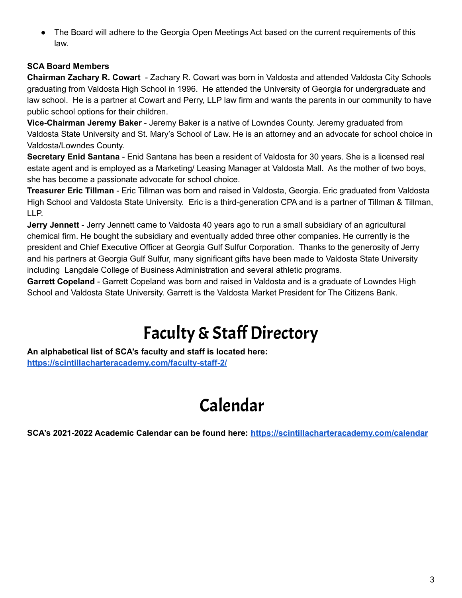• The Board will adhere to the Georgia Open Meetings Act based on the current requirements of this law.

## **SCA Board Members**

**Chairman Zachary R. Cowart** - Zachary R. Cowart was born in Valdosta and attended Valdosta City Schools graduating from Valdosta High School in 1996. He attended the University of Georgia for undergraduate and law school. He is a partner at Cowart and Perry, LLP law firm and wants the parents in our community to have public school options for their children.

**Vice-Chairman Jeremy Baker** - Jeremy Baker is a native of Lowndes County. Jeremy graduated from Valdosta State University and St. Mary's School of Law. He is an attorney and an advocate for school choice in Valdosta/Lowndes County.

**Secretary Enid Santana** - Enid Santana has been a resident of Valdosta for 30 years. She is a licensed real estate agent and is employed as a Marketing/ Leasing Manager at Valdosta Mall. As the mother of two boys, she has become a passionate advocate for school choice.

**Treasurer Eric Tillman** - Eric Tillman was born and raised in Valdosta, Georgia. Eric graduated from Valdosta High School and Valdosta State University. Eric is a third-generation CPA and is a partner of Tillman & Tillman, LLP.

**Jerry Jennett** - Jerry Jennett came to Valdosta 40 years ago to run a small subsidiary of an agricultural chemical firm. He bought the subsidiary and eventually added three other companies. He currently is the president and Chief Executive Officer at Georgia Gulf Sulfur Corporation. Thanks to the generosity of Jerry and his partners at Georgia Gulf Sulfur, many significant gifts have been made to Valdosta State University including Langdale College of Business Administration and several athletic programs.

**Garrett Copeland** - Garrett Copeland was born and raised in Valdosta and is a graduate of Lowndes High School and Valdosta State University. Garrett is the Valdosta Market President for The Citizens Bank.

## Faculty & Staff Directory

**An alphabetical list of SCA's faculty and staff is located here: <https://scintillacharteracademy.com/faculty-staff-2/>**

## Calendar

**SCA's 2021-2022 Academic Calendar can be found here: <https://scintillacharteracademy.com/calendar>**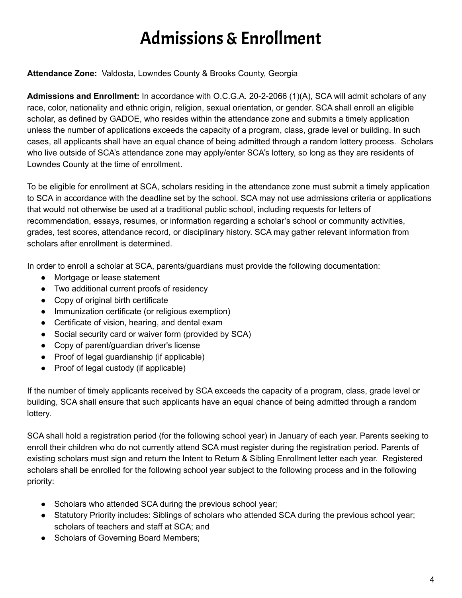# Admissions&Enrollment

## **Attendance Zone:** Valdosta, Lowndes County & Brooks County, Georgia

**Admissions and Enrollment:** In accordance with O.C.G.A. 20-2-2066 (1)(A), SCA will admit scholars of any race, color, nationality and ethnic origin, religion, sexual orientation, or gender. SCA shall enroll an eligible scholar, as defined by GADOE, who resides within the attendance zone and submits a timely application unless the number of applications exceeds the capacity of a program, class, grade level or building. In such cases, all applicants shall have an equal chance of being admitted through a random lottery process. Scholars who live outside of SCA's attendance zone may apply/enter SCA's lottery, so long as they are residents of Lowndes County at the time of enrollment.

To be eligible for enrollment at SCA, scholars residing in the attendance zone must submit a timely application to SCA in accordance with the deadline set by the school. SCA may not use admissions criteria or applications that would not otherwise be used at a traditional public school, including requests for letters of recommendation, essays, resumes, or information regarding a scholar's school or community activities, grades, test scores, attendance record, or disciplinary history. SCA may gather relevant information from scholars after enrollment is determined.

In order to enroll a scholar at SCA, parents/guardians must provide the following documentation:

- Mortgage or lease statement
- Two additional current proofs of residency
- Copy of original birth certificate
- Immunization certificate (or religious exemption)
- Certificate of vision, hearing, and dental exam
- Social security card or waiver form (provided by SCA)
- Copy of parent/guardian driver's license
- Proof of legal guardianship (if applicable)
- Proof of legal custody (if applicable)

If the number of timely applicants received by SCA exceeds the capacity of a program, class, grade level or building, SCA shall ensure that such applicants have an equal chance of being admitted through a random lottery.

SCA shall hold a registration period (for the following school year) in January of each year. Parents seeking to enroll their children who do not currently attend SCA must register during the registration period. Parents of existing scholars must sign and return the Intent to Return & Sibling Enrollment letter each year. Registered scholars shall be enrolled for the following school year subject to the following process and in the following priority:

- Scholars who attended SCA during the previous school year;
- Statutory Priority includes: Siblings of scholars who attended SCA during the previous school year; scholars of teachers and staff at SCA; and
- Scholars of Governing Board Members;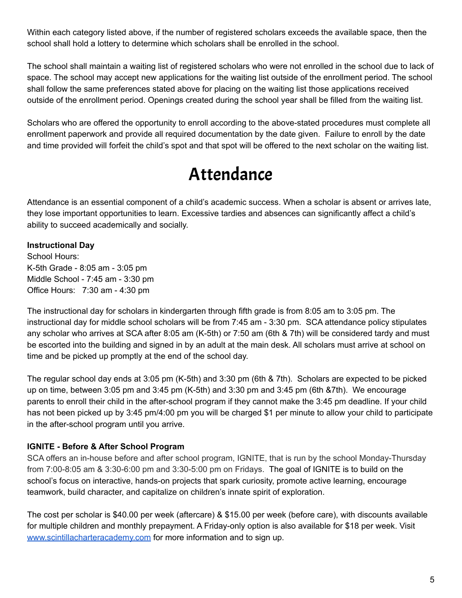Within each category listed above, if the number of registered scholars exceeds the available space, then the school shall hold a lottery to determine which scholars shall be enrolled in the school.

The school shall maintain a waiting list of registered scholars who were not enrolled in the school due to lack of space. The school may accept new applications for the waiting list outside of the enrollment period. The school shall follow the same preferences stated above for placing on the waiting list those applications received outside of the enrollment period. Openings created during the school year shall be filled from the waiting list.

Scholars who are offered the opportunity to enroll according to the above-stated procedures must complete all enrollment paperwork and provide all required documentation by the date given. Failure to enroll by the date and time provided will forfeit the child's spot and that spot will be offered to the next scholar on the waiting list.

## Attendance

Attendance is an essential component of a child's academic success. When a scholar is absent or arrives late, they lose important opportunities to learn. Excessive tardies and absences can significantly affect a child's ability to succeed academically and socially.

## **Instructional Day**

School Hours: K-5th Grade - 8:05 am - 3:05 pm Middle School - 7:45 am - 3:30 pm Office Hours: 7:30 am - 4:30 pm

The instructional day for scholars in kindergarten through fifth grade is from 8:05 am to 3:05 pm. The instructional day for middle school scholars will be from 7:45 am - 3:30 pm. SCA attendance policy stipulates any scholar who arrives at SCA after 8:05 am (K-5th) or 7:50 am (6th & 7th) will be considered tardy and must be escorted into the building and signed in by an adult at the main desk. All scholars must arrive at school on time and be picked up promptly at the end of the school day.

The regular school day ends at 3:05 pm (K-5th) and 3:30 pm (6th & 7th). Scholars are expected to be picked up on time, between 3:05 pm and 3:45 pm (K-5th) and 3:30 pm and 3:45 pm (6th &7th). We encourage parents to enroll their child in the after-school program if they cannot make the 3:45 pm deadline. If your child has not been picked up by 3:45 pm/4:00 pm you will be charged \$1 per minute to allow your child to participate in the after-school program until you arrive.

## **IGNITE - Before & After School Program**

SCA offers an in-house before and after school program, IGNITE, that is run by the school Monday-Thursday from 7:00-8:05 am & 3:30-6:00 pm and 3:30-5:00 pm on Fridays. The goal of IGNITE is to build on the school's focus on interactive, hands-on projects that spark curiosity, promote active learning, encourage teamwork, build character, and capitalize on children's innate spirit of exploration.

The cost per scholar is \$40.00 per week (aftercare) & \$15.00 per week (before care), with discounts available for multiple children and monthly prepayment. A Friday-only option is also available for \$18 per week. Visit [www.scintillacharteracademy.com](http://www.scintillacharteracademy.com) for more information and to sign up.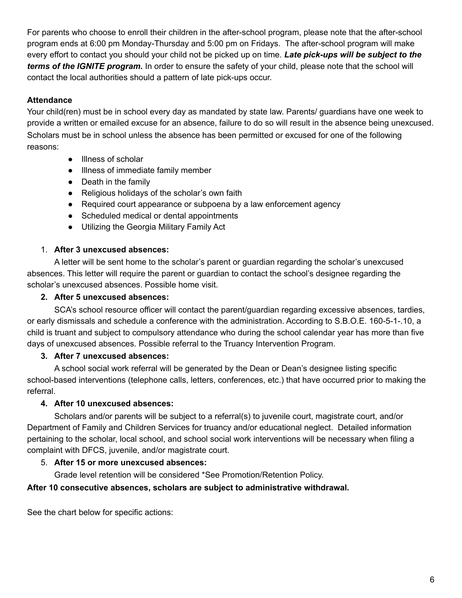For parents who choose to enroll their children in the after-school program, please note that the after-school program ends at 6:00 pm Monday-Thursday and 5:00 pm on Fridays. The after-school program will make every effort to contact you should your child not be picked up on time. *Late pick-ups will be subject to the terms of the IGNITE program.* In order to ensure the safety of your child, please note that the school will contact the local authorities should a pattern of late pick-ups occur.

## **Attendance**

Your child(ren) must be in school every day as mandated by state law. Parents/ guardians have one week to provide a written or emailed excuse for an absence, failure to do so will result in the absence being unexcused. Scholars must be in school unless the absence has been permitted or excused for one of the following reasons:

- Illness of scholar
- Illness of immediate family member
- Death in the family
- Religious holidays of the scholar's own faith
- Required court appearance or subpoena by a law enforcement agency
- Scheduled medical or dental appointments
- Utilizing the Georgia Military Family Act

## 1. **After 3 unexcused absences:**

A letter will be sent home to the scholar's parent or guardian regarding the scholar's unexcused absences. This letter will require the parent or guardian to contact the school's designee regarding the scholar's unexcused absences. Possible home visit.

#### **2. After 5 unexcused absences:**

SCA's school resource officer will contact the parent/guardian regarding excessive absences, tardies, or early dismissals and schedule a conference with the administration. According to S.B.O.E. 160-5-1-.10, a child is truant and subject to compulsory attendance who during the school calendar year has more than five days of unexcused absences. Possible referral to the Truancy Intervention Program.

## **3. After 7 unexcused absences:**

A school social work referral will be generated by the Dean or Dean's designee listing specific school-based interventions (telephone calls, letters, conferences, etc.) that have occurred prior to making the referral.

## **4. After 10 unexcused absences:**

Scholars and/or parents will be subject to a referral(s) to juvenile court, magistrate court, and/or Department of Family and Children Services for truancy and/or educational neglect. Detailed information pertaining to the scholar, local school, and school social work interventions will be necessary when filing a complaint with DFCS, juvenile, and/or magistrate court.

## 5. **After 15 or more unexcused absences:**

Grade level retention will be considered \*See Promotion/Retention Policy.

## **After 10 consecutive absences, scholars are subject to administrative withdrawal.**

See the chart below for specific actions: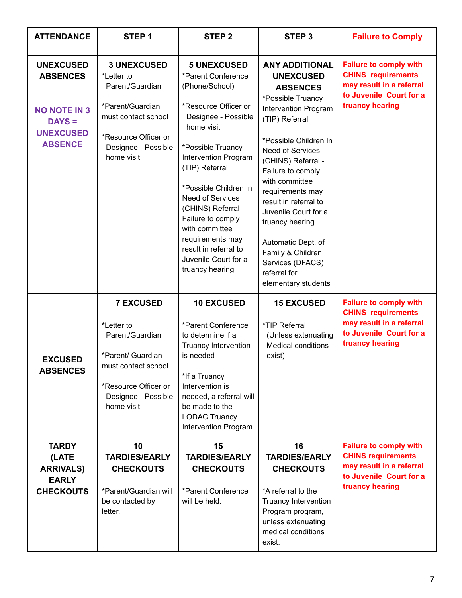| <b>ATTENDANCE</b>                                                             | STEP <sub>1</sub>                                                                                                                                          | <b>STEP 2</b>                                                                                                                                                                                                                                                        | STEP <sub>3</sub>                                                                                                                                                                                                                                                                                           | <b>Failure to Comply</b>                                                                                                             |
|-------------------------------------------------------------------------------|------------------------------------------------------------------------------------------------------------------------------------------------------------|----------------------------------------------------------------------------------------------------------------------------------------------------------------------------------------------------------------------------------------------------------------------|-------------------------------------------------------------------------------------------------------------------------------------------------------------------------------------------------------------------------------------------------------------------------------------------------------------|--------------------------------------------------------------------------------------------------------------------------------------|
| <b>UNEXCUSED</b><br><b>ABSENCES</b><br><b>NO NOTE IN 3</b><br>$DAYS =$        | <b>3 UNEXCUSED</b><br>*Letter to<br>Parent/Guardian<br>*Parent/Guardian<br>must contact school                                                             | <b>5 UNEXCUSED</b><br>*Parent Conference<br>(Phone/School)<br>*Resource Officer or<br>Designee - Possible<br>home visit                                                                                                                                              | <b>ANY ADDITIONAL</b><br><b>UNEXCUSED</b><br><b>ABSENCES</b><br>*Possible Truancy<br>Intervention Program<br>(TIP) Referral                                                                                                                                                                                 | <b>Failure to comply with</b><br><b>CHINS requirements</b><br>may result in a referral<br>to Juvenile Court for a<br>truancy hearing |
| <b>UNEXCUSED</b><br><b>ABSENCE</b>                                            | *Resource Officer or<br>Designee - Possible<br>home visit                                                                                                  | *Possible Truancy<br>Intervention Program<br>(TIP) Referral<br>*Possible Children In<br><b>Need of Services</b><br>(CHINS) Referral -<br>Failure to comply<br>with committee<br>requirements may<br>result in referral to<br>Juvenile Court for a<br>truancy hearing | *Possible Children In<br><b>Need of Services</b><br>(CHINS) Referral -<br>Failure to comply<br>with committee<br>requirements may<br>result in referral to<br>Juvenile Court for a<br>truancy hearing<br>Automatic Dept. of<br>Family & Children<br>Services (DFACS)<br>referral for<br>elementary students |                                                                                                                                      |
| <b>EXCUSED</b><br><b>ABSENCES</b>                                             | <b>7 EXCUSED</b><br>*Letter to<br>Parent/Guardian<br>*Parent/ Guardian<br>must contact school<br>*Resource Officer or<br>Designee - Possible<br>home visit | <b>10 EXCUSED</b><br>*Parent Conference<br>to determine if a<br>Truancy Intervention<br>is needed<br>*If a Truancy<br>Intervention is<br>needed, a referral will<br>be made to the<br><b>LODAC Truancy</b><br>Intervention Program                                   | <b>15 EXCUSED</b><br>*TIP Referral<br>(Unless extenuating<br><b>Medical conditions</b><br>exist)                                                                                                                                                                                                            | <b>Failure to comply with</b><br><b>CHINS requirements</b><br>may result in a referral<br>to Juvenile Court for a<br>truancy hearing |
| <b>TARDY</b><br>(LATE<br><b>ARRIVALS)</b><br><b>EARLY</b><br><b>CHECKOUTS</b> | 10<br><b>TARDIES/EARLY</b><br><b>CHECKOUTS</b><br>*Parent/Guardian will<br>be contacted by<br>letter.                                                      | 15<br><b>TARDIES/EARLY</b><br><b>CHECKOUTS</b><br>*Parent Conference<br>will be held.                                                                                                                                                                                | 16<br><b>TARDIES/EARLY</b><br><b>CHECKOUTS</b><br>*A referral to the<br>Truancy Intervention<br>Program program,<br>unless extenuating<br>medical conditions<br>exist.                                                                                                                                      | <b>Failure to comply with</b><br><b>CHINS requirements</b><br>may result in a referral<br>to Juvenile Court for a<br>truancy hearing |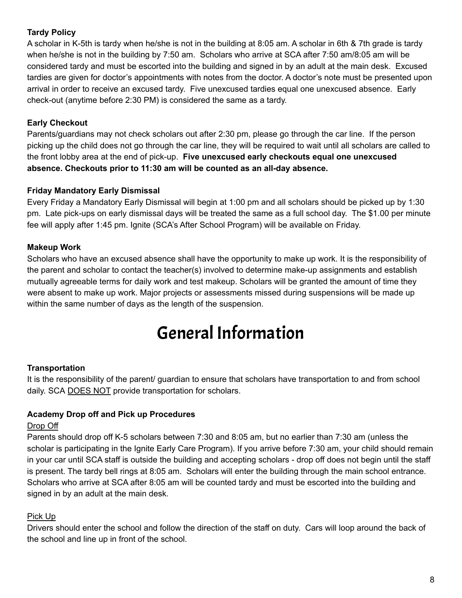## **Tardy Policy**

A scholar in K-5th is tardy when he/she is not in the building at 8:05 am. A scholar in 6th & 7th grade is tardy when he/she is not in the building by 7:50 am. Scholars who arrive at SCA after 7:50 am/8:05 am will be considered tardy and must be escorted into the building and signed in by an adult at the main desk. Excused tardies are given for doctor's appointments with notes from the doctor. A doctor's note must be presented upon arrival in order to receive an excused tardy. Five unexcused tardies equal one unexcused absence. Early check-out (anytime before 2:30 PM) is considered the same as a tardy.

## **Early Checkout**

Parents/guardians may not check scholars out after 2:30 pm, please go through the car line. If the person picking up the child does not go through the car line, they will be required to wait until all scholars are called to the front lobby area at the end of pick-up. **Five unexcused early checkouts equal one unexcused absence. Checkouts prior to 11:30 am will be counted as an all-day absence.**

## **Friday Mandatory Early Dismissal**

Every Friday a Mandatory Early Dismissal will begin at 1:00 pm and all scholars should be picked up by 1:30 pm. Late pick-ups on early dismissal days will be treated the same as a full school day. The \$1.00 per minute fee will apply after 1:45 pm. Ignite (SCA's After School Program) will be available on Friday.

## **Makeup Work**

Scholars who have an excused absence shall have the opportunity to make up work. It is the responsibility of the parent and scholar to contact the teacher(s) involved to determine make-up assignments and establish mutually agreeable terms for daily work and test makeup. Scholars will be granted the amount of time they were absent to make up work. Major projects or assessments missed during suspensions will be made up within the same number of days as the length of the suspension.

## General Information

## **Transportation**

It is the responsibility of the parent/ guardian to ensure that scholars have transportation to and from school daily. SCA DOES NOT provide transportation for scholars.

## **Academy Drop off and Pick up Procedures**

## Drop Off

Parents should drop off K-5 scholars between 7:30 and 8:05 am, but no earlier than 7:30 am (unless the scholar is participating in the Ignite Early Care Program). If you arrive before 7:30 am, your child should remain in your car until SCA staff is outside the building and accepting scholars - drop off does not begin until the staff is present. The tardy bell rings at 8:05 am. Scholars will enter the building through the main school entrance. Scholars who arrive at SCA after 8:05 am will be counted tardy and must be escorted into the building and signed in by an adult at the main desk.

## Pick Up

Drivers should enter the school and follow the direction of the staff on duty. Cars will loop around the back of the school and line up in front of the school.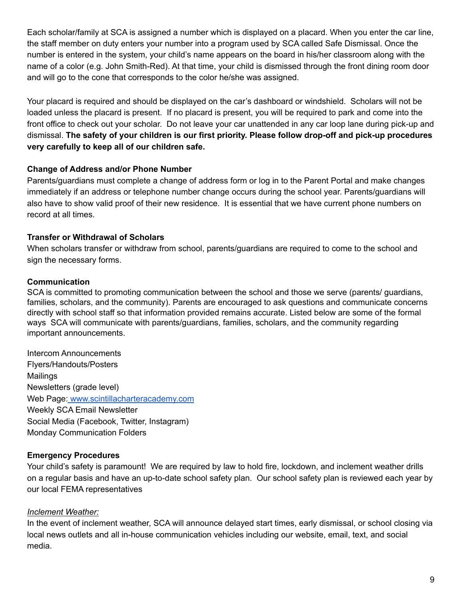Each scholar/family at SCA is assigned a number which is displayed on a placard. When you enter the car line, the staff member on duty enters your number into a program used by SCA called Safe Dismissal. Once the number is entered in the system, your child's name appears on the board in his/her classroom along with the name of a color (e.g. John Smith-Red). At that time, your child is dismissed through the front dining room door and will go to the cone that corresponds to the color he/she was assigned.

Your placard is required and should be displayed on the car's dashboard or windshield. Scholars will not be loaded unless the placard is present. If no placard is present, you will be required to park and come into the front office to check out your scholar. Do not leave your car unattended in any car loop lane during pick-up and dismissal. **The safety of your children is our first priority. Please follow drop-off and pick-up procedures very carefully to keep all of our children safe.**

#### **Change of Address and/or Phone Number**

Parents/guardians must complete a change of address form or log in to the Parent Portal and make changes immediately if an address or telephone number change occurs during the school year. Parents/guardians will also have to show valid proof of their new residence. It is essential that we have current phone numbers on record at all times.

## **Transfer or Withdrawal of Scholars**

When scholars transfer or withdraw from school, parents/guardians are required to come to the school and sign the necessary forms.

#### **Communication**

SCA is committed to promoting communication between the school and those we serve (parents/ guardians, families, scholars, and the community). Parents are encouraged to ask questions and communicate concerns directly with school staff so that information provided remains accurate. Listed below are some of the formal ways SCA will communicate with parents/guardians, families, scholars, and the community regarding important announcements.

Intercom Announcements Flyers/Handouts/Posters Mailings Newsletters (grade level) Web Page: [www.scintillacharteracademy.com](http://www.scintillacharteracademy.com/) Weekly SCA Email Newsletter Social Media (Facebook, Twitter, Instagram) Monday Communication Folders

## **Emergency Procedures**

Your child's safety is paramount! We are required by law to hold fire, lockdown, and inclement weather drills on a regular basis and have an up-to-date school safety plan. Our school safety plan is reviewed each year by our local FEMA representatives

## *Inclement Weather:*

In the event of inclement weather, SCA will announce delayed start times, early dismissal, or school closing via local news outlets and all in-house communication vehicles including our website, email, text, and social media.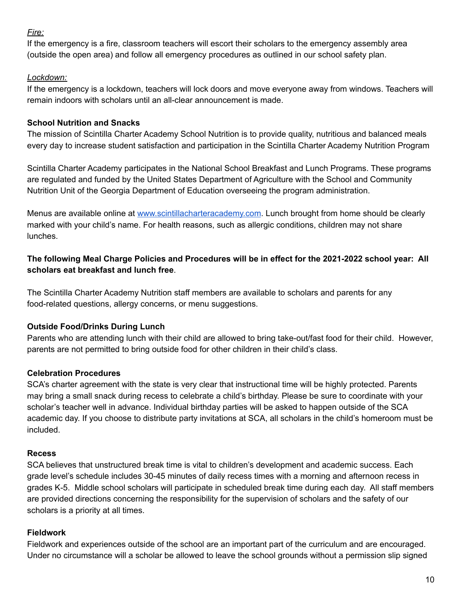## *Fire:*

If the emergency is a fire, classroom teachers will escort their scholars to the emergency assembly area (outside the open area) and follow all emergency procedures as outlined in our school safety plan.

## *Lockdown:*

If the emergency is a lockdown, teachers will lock doors and move everyone away from windows. Teachers will remain indoors with scholars until an all-clear announcement is made.

## **School Nutrition and Snacks**

The mission of Scintilla Charter Academy School Nutrition is to provide quality, nutritious and balanced meals every day to increase student satisfaction and participation in the Scintilla Charter Academy Nutrition Program

Scintilla Charter Academy participates in the National School Breakfast and Lunch Programs. These programs are regulated and funded by the United States Department of Agriculture with the School and Community Nutrition Unit of the Georgia Department of Education overseeing the program administration.

Menus are available online at [www.scintillacharteracademy.com](http://www.scintillacharteracademy.com). Lunch brought from home should be clearly marked with your child's name. For health reasons, such as allergic conditions, children may not share lunches.

## **The following Meal Charge Policies and Procedures will be in effect for the 2021-2022 school year: All scholars eat breakfast and lunch free**.

The Scintilla Charter Academy Nutrition staff members are available to scholars and parents for any food-related questions, allergy concerns, or menu suggestions.

## **Outside Food/Drinks During Lunch**

Parents who are attending lunch with their child are allowed to bring take-out/fast food for their child. However, parents are not permitted to bring outside food for other children in their child's class.

## **Celebration Procedures**

SCA's charter agreement with the state is very clear that instructional time will be highly protected. Parents may bring a small snack during recess to celebrate a child's birthday. Please be sure to coordinate with your scholar's teacher well in advance. Individual birthday parties will be asked to happen outside of the SCA academic day. If you choose to distribute party invitations at SCA, all scholars in the child's homeroom must be included.

## **Recess**

SCA believes that unstructured break time is vital to children's development and academic success. Each grade level's schedule includes 30-45 minutes of daily recess times with a morning and afternoon recess in grades K-5. Middle school scholars will participate in scheduled break time during each day. All staff members are provided directions concerning the responsibility for the supervision of scholars and the safety of our scholars is a priority at all times.

## **Fieldwork**

Fieldwork and experiences outside of the school are an important part of the curriculum and are encouraged. Under no circumstance will a scholar be allowed to leave the school grounds without a permission slip signed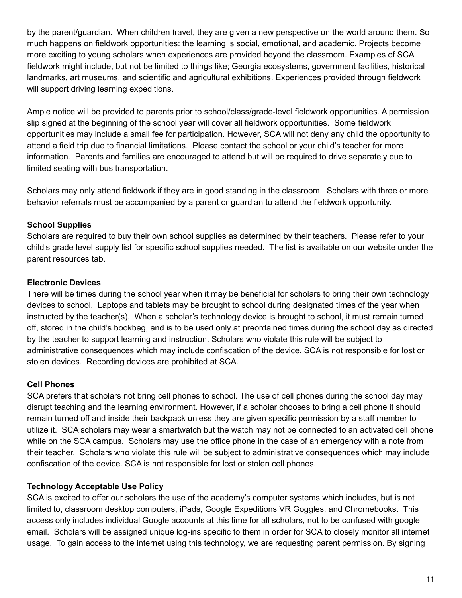by the parent/guardian. When children travel, they are given a new perspective on the world around them. So much happens on fieldwork opportunities: the learning is social, emotional, and academic. Projects become more exciting to young scholars when experiences are provided beyond the classroom. Examples of SCA fieldwork might include, but not be limited to things like; Georgia ecosystems, government facilities, historical landmarks, art museums, and scientific and agricultural exhibitions. Experiences provided through fieldwork will support driving learning expeditions.

Ample notice will be provided to parents prior to school/class/grade-level fieldwork opportunities. A permission slip signed at the beginning of the school year will cover all fieldwork opportunities. Some fieldwork opportunities may include a small fee for participation. However, SCA will not deny any child the opportunity to attend a field trip due to financial limitations. Please contact the school or your child's teacher for more information. Parents and families are encouraged to attend but will be required to drive separately due to limited seating with bus transportation.

Scholars may only attend fieldwork if they are in good standing in the classroom. Scholars with three or more behavior referrals must be accompanied by a parent or guardian to attend the fieldwork opportunity.

## **School Supplies**

Scholars are required to buy their own school supplies as determined by their teachers. Please refer to your child's grade level supply list for specific school supplies needed. The list is available on our website under the parent resources tab.

## **Electronic Devices**

There will be times during the school year when it may be beneficial for scholars to bring their own technology devices to school. Laptops and tablets may be brought to school during designated times of the year when instructed by the teacher(s). When a scholar's technology device is brought to school, it must remain turned off, stored in the child's bookbag, and is to be used only at preordained times during the school day as directed by the teacher to support learning and instruction. Scholars who violate this rule will be subject to administrative consequences which may include confiscation of the device. SCA is not responsible for lost or stolen devices. Recording devices are prohibited at SCA.

## **Cell Phones**

SCA prefers that scholars not bring cell phones to school. The use of cell phones during the school day may disrupt teaching and the learning environment. However, if a scholar chooses to bring a cell phone it should remain turned off and inside their backpack unless they are given specific permission by a staff member to utilize it. SCA scholars may wear a smartwatch but the watch may not be connected to an activated cell phone while on the SCA campus. Scholars may use the office phone in the case of an emergency with a note from their teacher. Scholars who violate this rule will be subject to administrative consequences which may include confiscation of the device. SCA is not responsible for lost or stolen cell phones.

## **Technology Acceptable Use Policy**

SCA is excited to offer our scholars the use of the academy's computer systems which includes, but is not limited to, classroom desktop computers, iPads, Google Expeditions VR Goggles, and Chromebooks. This access only includes individual Google accounts at this time for all scholars, not to be confused with google email. Scholars will be assigned unique log-ins specific to them in order for SCA to closely monitor all internet usage. To gain access to the internet using this technology, we are requesting parent permission. By signing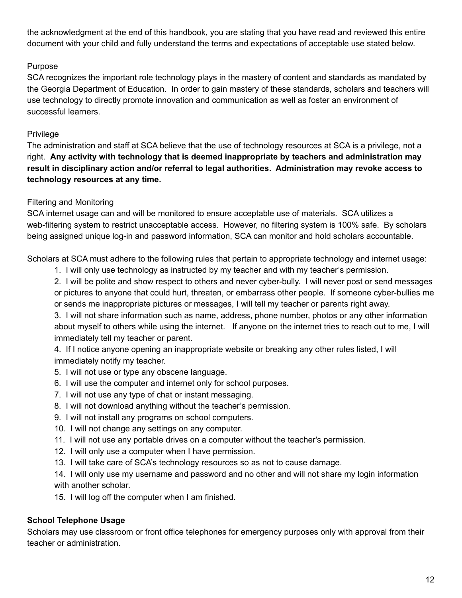the acknowledgment at the end of this handbook, you are stating that you have read and reviewed this entire document with your child and fully understand the terms and expectations of acceptable use stated below.

## Purpose

SCA recognizes the important role technology plays in the mastery of content and standards as mandated by the Georgia Department of Education. In order to gain mastery of these standards, scholars and teachers will use technology to directly promote innovation and communication as well as foster an environment of successful learners.

## Privilege

The administration and staff at SCA believe that the use of technology resources at SCA is a privilege, not a right. **Any activity with technology that is deemed inappropriate by teachers and administration may result in disciplinary action and/or referral to legal authorities. Administration may revoke access to technology resources at any time.**

## Filtering and Monitoring

SCA internet usage can and will be monitored to ensure acceptable use of materials. SCA utilizes a web-filtering system to restrict unacceptable access. However, no filtering system is 100% safe. By scholars being assigned unique log-in and password information, SCA can monitor and hold scholars accountable.

Scholars at SCA must adhere to the following rules that pertain to appropriate technology and internet usage:

1. I will only use technology as instructed by my teacher and with my teacher's permission.

2. I will be polite and show respect to others and never cyber-bully. I will never post or send messages or pictures to anyone that could hurt, threaten, or embarrass other people. If someone cyber-bullies me or sends me inappropriate pictures or messages, I will tell my teacher or parents right away.

3. I will not share information such as name, address, phone number, photos or any other information about myself to others while using the internet. If anyone on the internet tries to reach out to me, I will immediately tell my teacher or parent.

4. If I notice anyone opening an inappropriate website or breaking any other rules listed, I will immediately notify my teacher.

- 5. I will not use or type any obscene language.
- 6. I will use the computer and internet only for school purposes.
- 7. I will not use any type of chat or instant messaging.
- 8. I will not download anything without the teacher's permission.
- 9. I will not install any programs on school computers.
- 10. I will not change any settings on any computer.
- 11. I will not use any portable drives on a computer without the teacher's permission.
- 12. I will only use a computer when I have permission.
- 13. I will take care of SCA's technology resources so as not to cause damage.

14. I will only use my username and password and no other and will not share my login information with another scholar.

15. I will log off the computer when I am finished.

## **School Telephone Usage**

Scholars may use classroom or front office telephones for emergency purposes only with approval from their teacher or administration.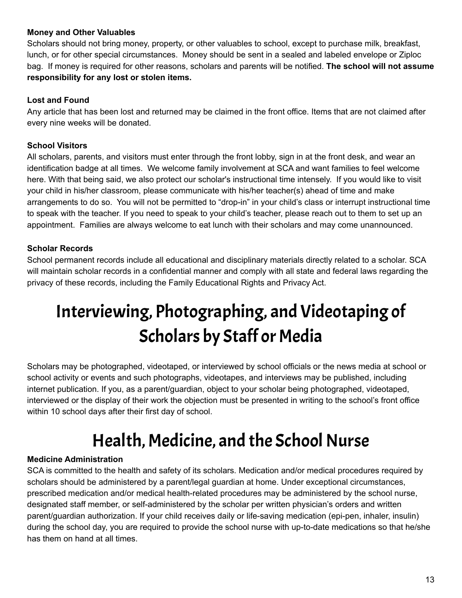## **Money and Other Valuables**

Scholars should not bring money, property, or other valuables to school, except to purchase milk, breakfast, lunch, or for other special circumstances. Money should be sent in a sealed and labeled envelope or Ziploc bag. If money is required for other reasons, scholars and parents will be notified. **The school will not assume responsibility for any lost or stolen items.**

## **Lost and Found**

Any article that has been lost and returned may be claimed in the front office. Items that are not claimed after every nine weeks will be donated.

## **School Visitors**

All scholars, parents, and visitors must enter through the front lobby, sign in at the front desk, and wear an identification badge at all times. We welcome family involvement at SCA and want families to feel welcome here. With that being said, we also protect our scholar's instructional time intensely. If you would like to visit your child in his/her classroom, please communicate with his/her teacher(s) ahead of time and make arrangements to do so. You will not be permitted to "drop-in" in your child's class or interrupt instructional time to speak with the teacher. If you need to speak to your child's teacher, please reach out to them to set up an appointment. Families are always welcome to eat lunch with their scholars and may come unannounced.

## **Scholar Records**

School permanent records include all educational and disciplinary materials directly related to a scholar. SCA will maintain scholar records in a confidential manner and comply with all state and federal laws regarding the privacy of these records, including the Family Educational Rights and Privacy Act.

# Interviewing, Photographing, and Videotaping of Scholars by Staff or Media

Scholars may be photographed, videotaped, or interviewed by school officials or the news media at school or school activity or events and such photographs, videotapes, and interviews may be published, including internet publication. If you, as a parent/guardian, object to your scholar being photographed, videotaped, interviewed or the display of their work the objection must be presented in writing to the school's front office within 10 school days after their first day of school.

## Health, Medicine, and the School Nurse

## **Medicine Administration**

SCA is committed to the health and safety of its scholars. Medication and/or medical procedures required by scholars should be administered by a parent/legal guardian at home. Under exceptional circumstances, prescribed medication and/or medical health-related procedures may be administered by the school nurse, designated staff member, or self-administered by the scholar per written physician's orders and written parent/guardian authorization. If your child receives daily or life-saving medication (epi-pen, inhaler, insulin) during the school day, you are required to provide the school nurse with up-to-date medications so that he/she has them on hand at all times.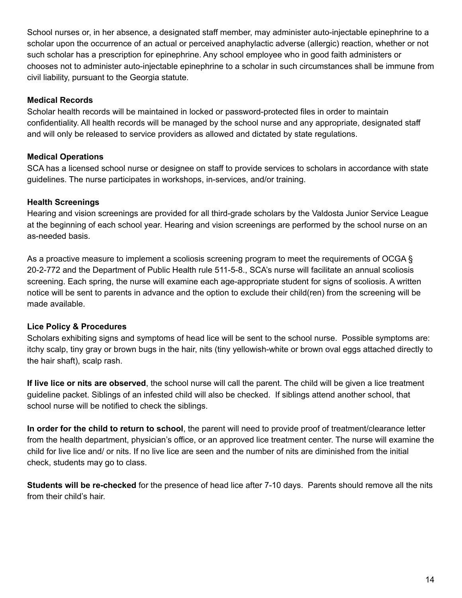School nurses or, in her absence, a designated staff member, may administer auto-injectable epinephrine to a scholar upon the occurrence of an actual or perceived anaphylactic adverse (allergic) reaction, whether or not such scholar has a prescription for epinephrine. Any school employee who in good faith administers or chooses not to administer auto-injectable epinephrine to a scholar in such circumstances shall be immune from civil liability, pursuant to the Georgia statute.

#### **Medical Records**

Scholar health records will be maintained in locked or password-protected files in order to maintain confidentiality. All health records will be managed by the school nurse and any appropriate, designated staff and will only be released to service providers as allowed and dictated by state regulations.

## **Medical Operations**

SCA has a licensed school nurse or designee on staff to provide services to scholars in accordance with state guidelines. The nurse participates in workshops, in-services, and/or training.

#### **Health Screenings**

Hearing and vision screenings are provided for all third-grade scholars by the Valdosta Junior Service League at the beginning of each school year. Hearing and vision screenings are performed by the school nurse on an as-needed basis.

As a proactive measure to implement a scoliosis screening program to meet the requirements of OCGA § 20-2-772 and the Department of Public Health rule 511-5-8., SCA's nurse will facilitate an annual scoliosis screening. Each spring, the nurse will examine each age-appropriate student for signs of scoliosis. A written notice will be sent to parents in advance and the option to exclude their child(ren) from the screening will be made available.

## **Lice Policy & Procedures**

Scholars exhibiting signs and symptoms of head lice will be sent to the school nurse. Possible symptoms are: itchy scalp, tiny gray or brown bugs in the hair, nits (tiny yellowish-white or brown oval eggs attached directly to the hair shaft), scalp rash.

**If live lice or nits are observed**, the school nurse will call the parent. The child will be given a lice treatment guideline packet. Siblings of an infested child will also be checked. If siblings attend another school, that school nurse will be notified to check the siblings.

**In order for the child to return to school**, the parent will need to provide proof of treatment/clearance letter from the health department, physician's office, or an approved lice treatment center. The nurse will examine the child for live lice and/ or nits. If no live lice are seen and the number of nits are diminished from the initial check, students may go to class.

**Students will be re-checked** for the presence of head lice after 7-10 days. Parents should remove all the nits from their child's hair.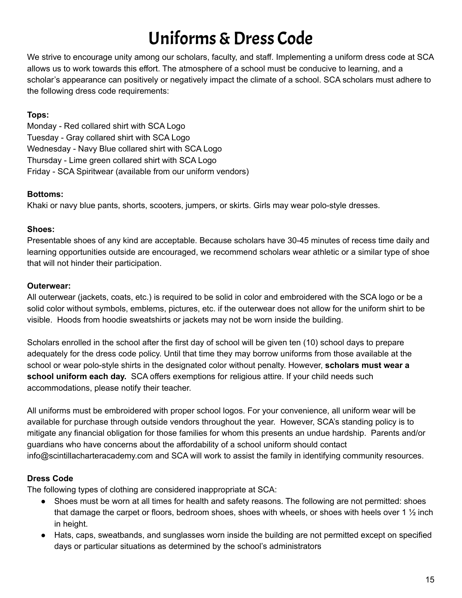# Uniforms&Dress Code

We strive to encourage unity among our scholars, faculty, and staff. Implementing a uniform dress code at SCA allows us to work towards this effort. The atmosphere of a school must be conducive to learning, and a scholar's appearance can positively or negatively impact the climate of a school. SCA scholars must adhere to the following dress code requirements:

## **Tops:**

Monday - Red collared shirt with SCA Logo Tuesday - Gray collared shirt with SCA Logo Wednesday - Navy Blue collared shirt with SCA Logo Thursday - Lime green collared shirt with SCA Logo Friday - SCA Spiritwear (available from our uniform vendors)

## **Bottoms:**

Khaki or navy blue pants, shorts, scooters, jumpers, or skirts. Girls may wear polo-style dresses.

## **Shoes:**

Presentable shoes of any kind are acceptable. Because scholars have 30-45 minutes of recess time daily and learning opportunities outside are encouraged, we recommend scholars wear athletic or a similar type of shoe that will not hinder their participation.

## **Outerwear:**

All outerwear (jackets, coats, etc.) is required to be solid in color and embroidered with the SCA logo or be a solid color without symbols, emblems, pictures, etc. if the outerwear does not allow for the uniform shirt to be visible. Hoods from hoodie sweatshirts or jackets may not be worn inside the building.

Scholars enrolled in the school after the first day of school will be given ten (10) school days to prepare adequately for the dress code policy. Until that time they may borrow uniforms from those available at the school or wear polo-style shirts in the designated color without penalty. However, **scholars must wear a school uniform each day.** SCA offers exemptions for religious attire. If your child needs such accommodations, please notify their teacher.

All uniforms must be embroidered with proper school logos. For your convenience, all uniform wear will be available for purchase through outside vendors throughout the year. However, SCA's standing policy is to mitigate any financial obligation for those families for whom this presents an undue hardship. Parents and/or guardians who have concerns about the affordability of a school uniform should contact info@scintillacharteracademy.com and SCA will work to assist the family in identifying community resources.

## **Dress Code**

The following types of clothing are considered inappropriate at SCA:

- Shoes must be worn at all times for health and safety reasons. The following are not permitted: shoes that damage the carpet or floors, bedroom shoes, shoes with wheels, or shoes with heels over 1  $\frac{1}{2}$  inch in height.
- Hats, caps, sweatbands, and sunglasses worn inside the building are not permitted except on specified days or particular situations as determined by the school's administrators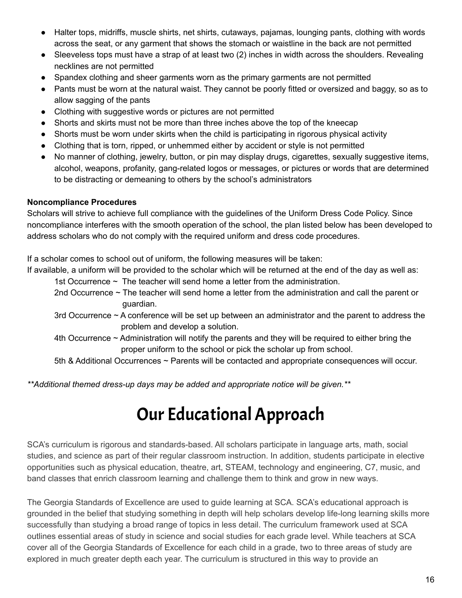- Halter tops, midriffs, muscle shirts, net shirts, cutaways, pajamas, lounging pants, clothing with words across the seat, or any garment that shows the stomach or waistline in the back are not permitted
- Sleeveless tops must have a strap of at least two (2) inches in width across the shoulders. Revealing necklines are not permitted
- Spandex clothing and sheer garments worn as the primary garments are not permitted
- Pants must be worn at the natural waist. They cannot be poorly fitted or oversized and baggy, so as to allow sagging of the pants
- Clothing with suggestive words or pictures are not permitted
- Shorts and skirts must not be more than three inches above the top of the kneecap
- Shorts must be worn under skirts when the child is participating in rigorous physical activity
- Clothing that is torn, ripped, or unhemmed either by accident or style is not permitted
- No manner of clothing, jewelry, button, or pin may display drugs, cigarettes, sexually suggestive items, alcohol, weapons, profanity, gang-related logos or messages, or pictures or words that are determined to be distracting or demeaning to others by the school's administrators

## **Noncompliance Procedures**

Scholars will strive to achieve full compliance with the guidelines of the Uniform Dress Code Policy. Since noncompliance interferes with the smooth operation of the school, the plan listed below has been developed to address scholars who do not comply with the required uniform and dress code procedures.

If a scholar comes to school out of uniform, the following measures will be taken:

If available, a uniform will be provided to the scholar which will be returned at the end of the day as well as:

- 1st Occurrence ~ The teacher will send home a letter from the administration.
- 2nd Occurrence ~ The teacher will send home a letter from the administration and call the parent or guardian.
- 3rd Occurrence ~ A conference will be set up between an administrator and the parent to address the problem and develop a solution.
- 4th Occurrence ~ Administration will notify the parents and they will be required to either bring the proper uniform to the school or pick the scholar up from school.

5th & Additional Occurrences ~ Parents will be contacted and appropriate consequences will occur.

*\*\*Additional themed dress-up days may be added and appropriate notice will be given.\*\**

## Our Educational Approach

SCA's curriculum is rigorous and standards-based. All scholars participate in language arts, math, social studies, and science as part of their regular classroom instruction. In addition, students participate in elective opportunities such as physical education, theatre, art, STEAM, technology and engineering, C7, music, and band classes that enrich classroom learning and challenge them to think and grow in new ways.

The Georgia Standards of Excellence are used to guide learning at SCA. SCA's educational approach is grounded in the belief that studying something in depth will help scholars develop life-long learning skills more successfully than studying a broad range of topics in less detail. The curriculum framework used at SCA outlines essential areas of study in science and social studies for each grade level. While teachers at SCA cover all of the Georgia Standards of Excellence for each child in a grade, two to three areas of study are explored in much greater depth each year. The curriculum is structured in this way to provide an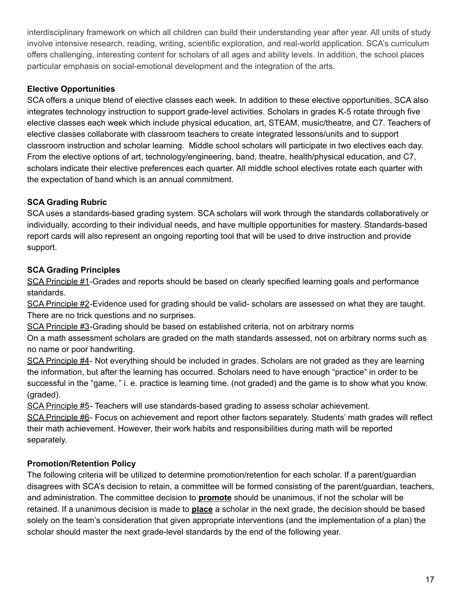interdisciplinary framework on which all children can build their understanding year after year. All units of study involve intensive research, reading, writing, scientific exploration, and real-world application. SCA's curriculum offers challenging, interesting content for scholars of all ages and ability levels. In addition, the school places particular emphasis on social-emotional development and the integration of the arts.

## **Elective Opportunities**

SCA offers a unique blend of elective classes each week. In addition to these elective opportunities, SCA also integrates technology instruction to support grade-level activities. Scholars in grades K-5 rotate through five elective classes each week which include physical education, art, STEAM, music/theatre, and C7. Teachers of elective classes collaborate with classroom teachers to create integrated lessons/units and to support classroom instruction and scholar learning. Middle school scholars will participate in two electives each day. From the elective options of art, technology/engineering, band, theatre, health/physical education, and C7, scholars indicate their elective preferences each quarter. All middle school electives rotate each quarter with the expectation of band which is an annual commitment.

## **SCA Grading Rubric**

SCA uses a standards-based grading system. SCA scholars will work through the standards collaboratively or individually, according to their individual needs, and have multiple opportunities for mastery. Standards-based report cards will also represent an ongoing reporting tool that will be used to drive instruction and provide support.

## **SCA Grading Principles**

SCA Principle #1-Grades and reports should be based on clearly specified learning goals and performance standards.

SCA Principle #2-Evidence used for grading should be valid- scholars are assessed on what they are taught. There are no trick questions and no surprises.

SCA Principle #3-Grading should be based on established criteria, not on arbitrary norms

On a math assessment scholars are graded on the math standards assessed, not on arbitrary norms such as no name or poor handwriting.

SCA Principle #4- Not everything should be included in grades. Scholars are not graded as they are learning the information, but after the learning has occurred. Scholars need to have enough "practice" in order to be successful in the "game, " i. e. practice is learning time. (not graded) and the game is to show what you know. (graded).

SCA Principle #5- Teachers will use standards-based grading to assess scholar achievement.

SCA Principle #6- Focus on achievement and report other factors separately. Students' math grades will reflect their math achievement. However, their work habits and responsibilities during math will be reported separately.

## **Promotion/Retention Policy**

The following criteria will be utilized to determine promotion/retention for each scholar. If a parent/guardian disagrees with SCA's decision to retain, a committee will be formed consisting of the parent/guardian, teachers, and administration. The committee decision to **promote** should be unanimous, if not the scholar will be retained. If a unanimous decision is made to **place** a scholar in the next grade, the decision should be based solely on the team's consideration that given appropriate interventions (and the implementation of a plan) the scholar should master the next grade-level standards by the end of the following year.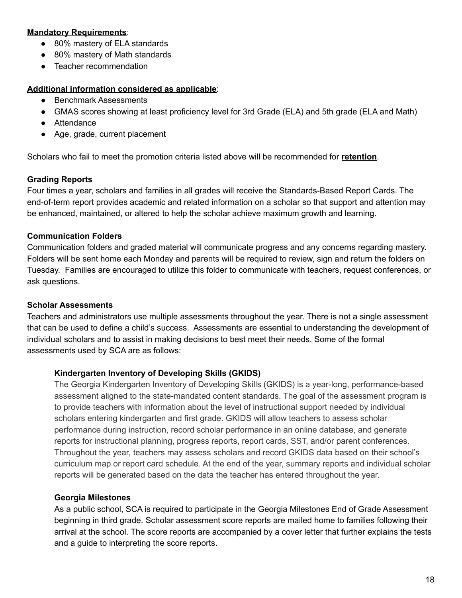#### **Mandatory Requirements**:

- 80% mastery of ELA standards
- 80% mastery of Math standards
- Teacher recommendation

#### **Additional information considered as applicable**:

- Benchmark Assessments
- GMAS scores showing at least proficiency level for 3rd Grade (ELA) and 5th grade (ELA and Math)
- Attendance
- Age, grade, current placement

Scholars who fail to meet the promotion criteria listed above will be recommended for **retention**.

## **Grading Reports**

Four times a year, scholars and families in all grades will receive the Standards-Based Report Cards. The end-of-term report provides academic and related information on a scholar so that support and attention may be enhanced, maintained, or altered to help the scholar achieve maximum growth and learning.

## **Communication Folders**

Communication folders and graded material will communicate progress and any concerns regarding mastery. Folders will be sent home each Monday and parents will be required to review, sign and return the folders on Tuesday. Families are encouraged to utilize this folder to communicate with teachers, request conferences, or ask questions.

## **Scholar Assessments**

Teachers and administrators use multiple assessments throughout the year. There is not a single assessment that can be used to define a child's success. Assessments are essential to understanding the development of individual scholars and to assist in making decisions to best meet their needs. Some of the formal assessments used by SCA are as follows:

## **Kindergarten Inventory of Developing Skills (GKIDS)**

The Georgia Kindergarten Inventory of Developing Skills (GKIDS) is a year-long, performance-based assessment aligned to the state-mandated content standards. The goal of the assessment program is to provide teachers with information about the level of instructional support needed by individual scholars entering kindergarten and first grade. GKIDS will allow teachers to assess scholar performance during instruction, record scholar performance in an online database, and generate reports for instructional planning, progress reports, report cards, SST, and/or parent conferences. Throughout the year, teachers may assess scholars and record GKIDS data based on their school's curriculum map or report card schedule. At the end of the year, summary reports and individual scholar reports will be generated based on the data the teacher has entered throughout the year.

## **Georgia Milestones**

As a public school, SCA is required to participate in the Georgia Milestones End of Grade Assessment beginning in third grade. Scholar assessment score reports are mailed home to families following their arrival at the school. The score reports are accompanied by a cover letter that further explains the tests and a guide to interpreting the score reports.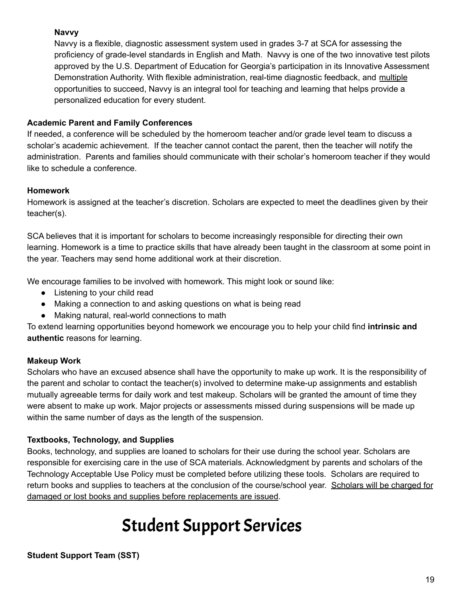## **Navvy**

Navvy is a flexible, diagnostic assessment system used in grades 3-7 at SCA for assessing the proficiency of grade-level standards in English and Math. Navvy is one of the two innovative test pilots approved by the U.S. Department of Education for Georgia's participation in its Innovative Assessment Demonstration Authority. With flexible administration, real-time diagnostic feedback, and multiple opportunities to succeed, Navvy is an integral tool for teaching and learning that helps provide a personalized education for every student.

## **Academic Parent and Family Conferences**

If needed, a conference will be scheduled by the homeroom teacher and/or grade level team to discuss a scholar's academic achievement. If the teacher cannot contact the parent, then the teacher will notify the administration. Parents and families should communicate with their scholar's homeroom teacher if they would like to schedule a conference.

## **Homework**

Homework is assigned at the teacher's discretion. Scholars are expected to meet the deadlines given by their teacher(s).

SCA believes that it is important for scholars to become increasingly responsible for directing their own learning. Homework is a time to practice skills that have already been taught in the classroom at some point in the year. Teachers may send home additional work at their discretion.

We encourage families to be involved with homework. This might look or sound like:

- Listening to your child read
- Making a connection to and asking questions on what is being read
- Making natural, real-world connections to math

To extend learning opportunities beyond homework we encourage you to help your child find **intrinsic and authentic** reasons for learning.

## **Makeup Work**

Scholars who have an excused absence shall have the opportunity to make up work. It is the responsibility of the parent and scholar to contact the teacher(s) involved to determine make-up assignments and establish mutually agreeable terms for daily work and test makeup. Scholars will be granted the amount of time they were absent to make up work. Major projects or assessments missed during suspensions will be made up within the same number of days as the length of the suspension.

## **Textbooks, Technology, and Supplies**

Books, technology, and supplies are loaned to scholars for their use during the school year. Scholars are responsible for exercising care in the use of SCA materials. Acknowledgment by parents and scholars of the Technology Acceptable Use Policy must be completed before utilizing these tools. Scholars are required to return books and supplies to teachers at the conclusion of the course/school year. Scholars will be charged for damaged or lost books and supplies before replacements are issued.

# Student Support Services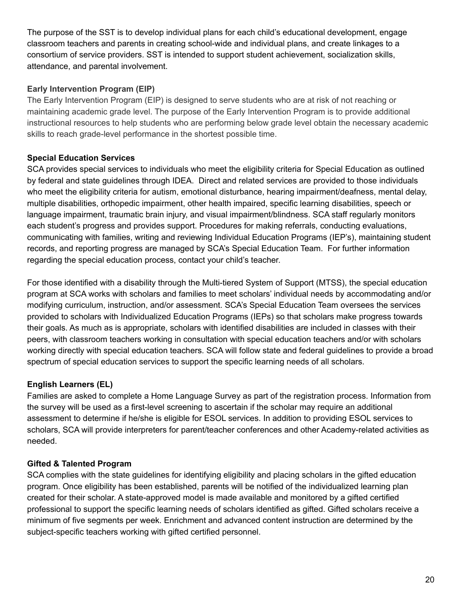The purpose of the SST is to develop individual plans for each child's educational development, engage classroom teachers and parents in creating school-wide and individual plans, and create linkages to a consortium of service providers. SST is intended to support student achievement, socialization skills, attendance, and parental involvement.

## **Early Intervention Program (EIP)**

The Early Intervention Program (EIP) is designed to serve students who are at risk of not reaching or maintaining academic grade level. The purpose of the Early Intervention Program is to provide additional instructional resources to help students who are performing below grade level obtain the necessary academic skills to reach grade-level performance in the shortest possible time.

## **Special Education Services**

SCA provides special services to individuals who meet the eligibility criteria for Special Education as outlined by federal and state guidelines through IDEA. Direct and related services are provided to those individuals who meet the eligibility criteria for autism, emotional disturbance, hearing impairment/deafness, mental delay, multiple disabilities, orthopedic impairment, other health impaired, specific learning disabilities, speech or language impairment, traumatic brain injury, and visual impairment/blindness. SCA staff regularly monitors each student's progress and provides support. Procedures for making referrals, conducting evaluations, communicating with families, writing and reviewing Individual Education Programs (IEP's), maintaining student records, and reporting progress are managed by SCA's Special Education Team. For further information regarding the special education process, contact your child's teacher.

For those identified with a disability through the Multi-tiered System of Support (MTSS), the special education program at SCA works with scholars and families to meet scholars' individual needs by accommodating and/or modifying curriculum, instruction, and/or assessment. SCA's Special Education Team oversees the services provided to scholars with Individualized Education Programs (IEPs) so that scholars make progress towards their goals. As much as is appropriate, scholars with identified disabilities are included in classes with their peers, with classroom teachers working in consultation with special education teachers and/or with scholars working directly with special education teachers. SCA will follow state and federal guidelines to provide a broad spectrum of special education services to support the specific learning needs of all scholars.

## **English Learners (EL)**

Families are asked to complete a Home Language Survey as part of the registration process. Information from the survey will be used as a first-level screening to ascertain if the scholar may require an additional assessment to determine if he/she is eligible for ESOL services. In addition to providing ESOL services to scholars, SCA will provide interpreters for parent/teacher conferences and other Academy-related activities as needed.

## **Gifted & Talented Program**

SCA complies with the state guidelines for identifying eligibility and placing scholars in the gifted education program. Once eligibility has been established, parents will be notified of the individualized learning plan created for their scholar. A state-approved model is made available and monitored by a gifted certified professional to support the specific learning needs of scholars identified as gifted. Gifted scholars receive a minimum of five segments per week. Enrichment and advanced content instruction are determined by the subject-specific teachers working with gifted certified personnel.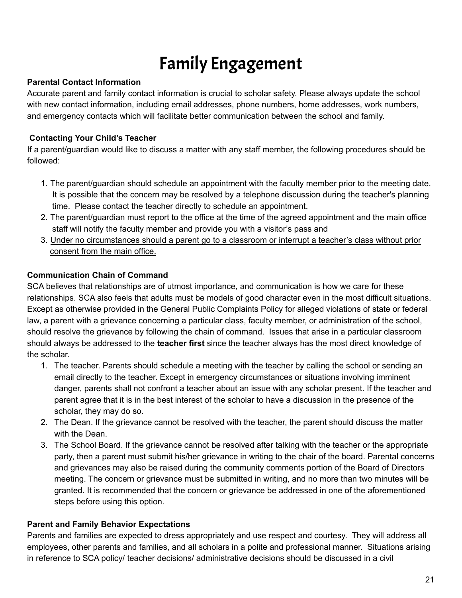# Family Engagement

## **Parental Contact Information**

Accurate parent and family contact information is crucial to scholar safety. Please always update the school with new contact information, including email addresses, phone numbers, home addresses, work numbers, and emergency contacts which will facilitate better communication between the school and family.

## **Contacting Your Child's Teacher**

If a parent/guardian would like to discuss a matter with any staff member, the following procedures should be followed:

- 1. The parent/guardian should schedule an appointment with the faculty member prior to the meeting date. It is possible that the concern may be resolved by a telephone discussion during the teacher's planning time. Please contact the teacher directly to schedule an appointment.
- 2. The parent/guardian must report to the office at the time of the agreed appointment and the main office staff will notify the faculty member and provide you with a visitor's pass and
- 3. Under no circumstances should a parent go to a classroom or interrupt a teacher's class without prior consent from the main office.

## **Communication Chain of Command**

SCA believes that relationships are of utmost importance, and communication is how we care for these relationships. SCA also feels that adults must be models of good character even in the most difficult situations. Except as otherwise provided in the General Public Complaints Policy for alleged violations of state or federal law, a parent with a grievance concerning a particular class, faculty member, or administration of the school, should resolve the grievance by following the chain of command. Issues that arise in a particular classroom should always be addressed to the **teacher first** since the teacher always has the most direct knowledge of the scholar.

- 1. The teacher. Parents should schedule a meeting with the teacher by calling the school or sending an email directly to the teacher. Except in emergency circumstances or situations involving imminent danger, parents shall not confront a teacher about an issue with any scholar present. If the teacher and parent agree that it is in the best interest of the scholar to have a discussion in the presence of the scholar, they may do so.
- 2. The Dean. If the grievance cannot be resolved with the teacher, the parent should discuss the matter with the Dean.
- 3. The School Board. If the grievance cannot be resolved after talking with the teacher or the appropriate party, then a parent must submit his/her grievance in writing to the chair of the board. Parental concerns and grievances may also be raised during the community comments portion of the Board of Directors meeting. The concern or grievance must be submitted in writing, and no more than two minutes will be granted. It is recommended that the concern or grievance be addressed in one of the aforementioned steps before using this option.

## **Parent and Family Behavior Expectations**

Parents and families are expected to dress appropriately and use respect and courtesy. They will address all employees, other parents and families, and all scholars in a polite and professional manner. Situations arising in reference to SCA policy/ teacher decisions/ administrative decisions should be discussed in a civil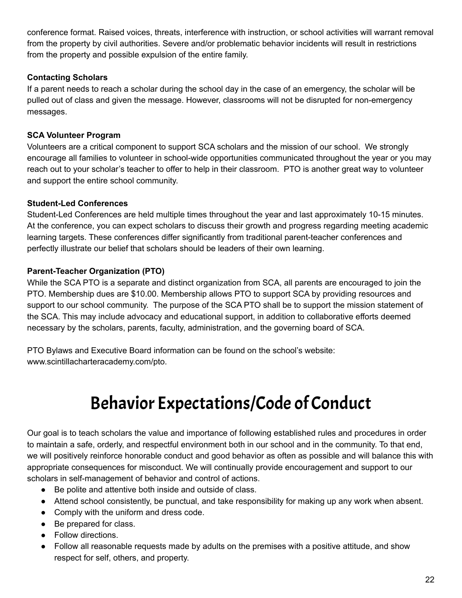conference format. Raised voices, threats, interference with instruction, or school activities will warrant removal from the property by civil authorities. Severe and/or problematic behavior incidents will result in restrictions from the property and possible expulsion of the entire family.

## **Contacting Scholars**

If a parent needs to reach a scholar during the school day in the case of an emergency, the scholar will be pulled out of class and given the message. However, classrooms will not be disrupted for non-emergency messages.

## **SCA Volunteer Program**

Volunteers are a critical component to support SCA scholars and the mission of our school. We strongly encourage all families to volunteer in school-wide opportunities communicated throughout the year or you may reach out to your scholar's teacher to offer to help in their classroom. PTO is another great way to volunteer and support the entire school community.

## **Student-Led Conferences**

Student-Led Conferences are held multiple times throughout the year and last approximately 10-15 minutes. At the conference, you can expect scholars to discuss their growth and progress regarding meeting academic learning targets. These conferences differ significantly from traditional parent-teacher conferences and perfectly illustrate our belief that scholars should be leaders of their own learning.

## **Parent-Teacher Organization (PTO)**

While the SCA PTO is a separate and distinct organization from SCA, all parents are encouraged to join the PTO. Membership dues are \$10.00. Membership allows PTO to support SCA by providing resources and support to our school community. The purpose of the SCA PTO shall be to support the mission statement of the SCA. This may include advocacy and educational support, in addition to collaborative efforts deemed necessary by the scholars, parents, faculty, administration, and the governing board of SCA.

PTO Bylaws and Executive Board information can be found on the school's website: www.scintillacharteracademy.com/pto.

## Behavior Expectations/Code of Conduct

Our goal is to teach scholars the value and importance of following established rules and procedures in order to maintain a safe, orderly, and respectful environment both in our school and in the community. To that end, we will positively reinforce honorable conduct and good behavior as often as possible and will balance this with appropriate consequences for misconduct. We will continually provide encouragement and support to our scholars in self-management of behavior and control of actions.

- Be polite and attentive both inside and outside of class.
- Attend school consistently, be punctual, and take responsibility for making up any work when absent.
- Comply with the uniform and dress code.
- Be prepared for class.
- Follow directions.
- Follow all reasonable requests made by adults on the premises with a positive attitude, and show respect for self, others, and property.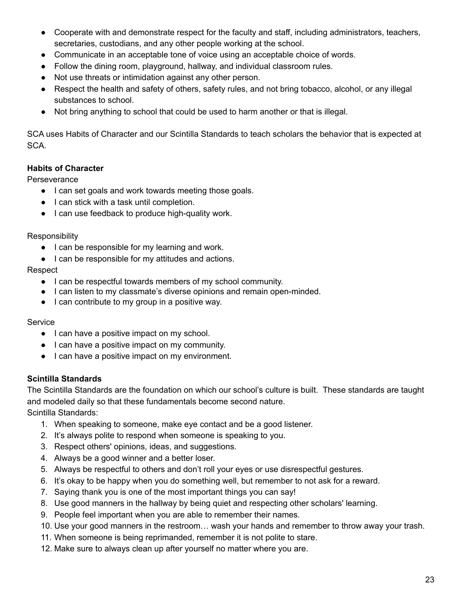- Cooperate with and demonstrate respect for the faculty and staff, including administrators, teachers, secretaries, custodians, and any other people working at the school.
- Communicate in an acceptable tone of voice using an acceptable choice of words.
- Follow the dining room, playground, hallway, and individual classroom rules.
- Not use threats or intimidation against any other person.
- Respect the health and safety of others, safety rules, and not bring tobacco, alcohol, or any illegal substances to school.
- Not bring anything to school that could be used to harm another or that is illegal.

SCA uses Habits of Character and our Scintilla Standards to teach scholars the behavior that is expected at SCA.

## **Habits of Character**

**Perseverance** 

- I can set goals and work towards meeting those goals.
- I can stick with a task until completion.
- I can use feedback to produce high-quality work.

Responsibility

- I can be responsible for my learning and work.
- I can be responsible for my attitudes and actions.

Respect

- I can be respectful towards members of my school community.
- I can listen to my classmate's diverse opinions and remain open-minded.
- I can contribute to my group in a positive way.

**Service** 

- I can have a positive impact on my school.
- I can have a positive impact on my community.
- I can have a positive impact on my environment.

## **Scintilla Standards**

The Scintilla Standards are the foundation on which our school's culture is built. These standards are taught and modeled daily so that these fundamentals become second nature. Scintilla Standards:

- 1. When speaking to someone, make eye contact and be a good listener.
- 2. It's always polite to respond when someone is speaking to you.
- 3. Respect others' opinions, ideas, and suggestions.
- 4. Always be a good winner and a better loser.
- 5. Always be respectful to others and don't roll your eyes or use disrespectful gestures.
- 6. It's okay to be happy when you do something well, but remember to not ask for a reward.
- 7. Saying thank you is one of the most important things you can say!
- 8. Use good manners in the hallway by being quiet and respecting other scholars' learning.
- 9. People feel important when you are able to remember their names.
- 10. Use your good manners in the restroom… wash your hands and remember to throw away your trash.
- 11. When someone is being reprimanded, remember it is not polite to stare.
- 12. Make sure to always clean up after yourself no matter where you are.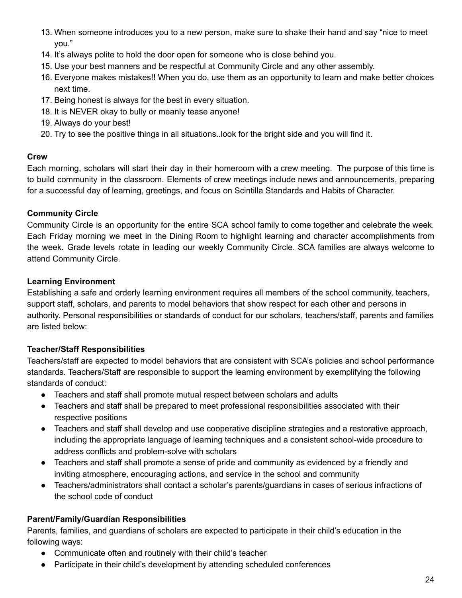- 13. When someone introduces you to a new person, make sure to shake their hand and say "nice to meet you."
- 14. It's always polite to hold the door open for someone who is close behind you.
- 15. Use your best manners and be respectful at Community Circle and any other assembly.
- 16. Everyone makes mistakes!! When you do, use them as an opportunity to learn and make better choices next time.
- 17. Being honest is always for the best in every situation.
- 18. It is NEVER okay to bully or meanly tease anyone!
- 19. Always do your best!
- 20. Try to see the positive things in all situations..look for the bright side and you will find it.

## **Crew**

Each morning, scholars will start their day in their homeroom with a crew meeting. The purpose of this time is to build community in the classroom. Elements of crew meetings include news and announcements, preparing for a successful day of learning, greetings, and focus on Scintilla Standards and Habits of Character.

## **Community Circle**

Community Circle is an opportunity for the entire SCA school family to come together and celebrate the week. Each Friday morning we meet in the Dining Room to highlight learning and character accomplishments from the week. Grade levels rotate in leading our weekly Community Circle. SCA families are always welcome to attend Community Circle.

## **Learning Environment**

Establishing a safe and orderly learning environment requires all members of the school community, teachers, support staff, scholars, and parents to model behaviors that show respect for each other and persons in authority. Personal responsibilities or standards of conduct for our scholars, teachers/staff, parents and families are listed below:

## **Teacher/Staff Responsibilities**

Teachers/staff are expected to model behaviors that are consistent with SCA's policies and school performance standards. Teachers/Staff are responsible to support the learning environment by exemplifying the following standards of conduct:

- Teachers and staff shall promote mutual respect between scholars and adults
- Teachers and staff shall be prepared to meet professional responsibilities associated with their respective positions
- Teachers and staff shall develop and use cooperative discipline strategies and a restorative approach, including the appropriate language of learning techniques and a consistent school-wide procedure to address conflicts and problem-solve with scholars
- Teachers and staff shall promote a sense of pride and community as evidenced by a friendly and inviting atmosphere, encouraging actions, and service in the school and community
- Teachers/administrators shall contact a scholar's parents/guardians in cases of serious infractions of the school code of conduct

## **Parent/Family/Guardian Responsibilities**

Parents, families, and guardians of scholars are expected to participate in their child's education in the following ways:

- Communicate often and routinely with their child's teacher
- Participate in their child's development by attending scheduled conferences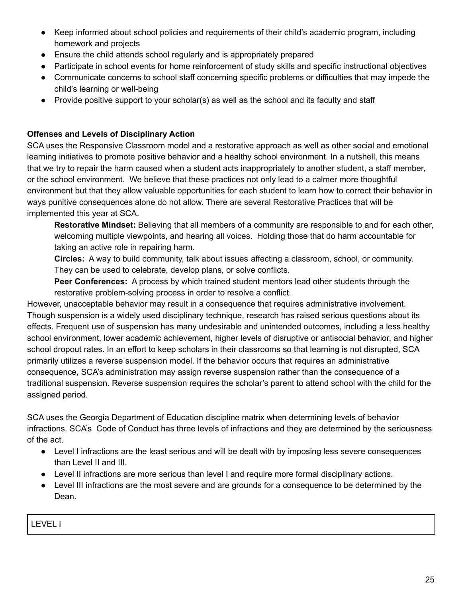- Keep informed about school policies and requirements of their child's academic program, including homework and projects
- Ensure the child attends school regularly and is appropriately prepared
- Participate in school events for home reinforcement of study skills and specific instructional objectives
- Communicate concerns to school staff concerning specific problems or difficulties that may impede the child's learning or well-being
- Provide positive support to your scholar(s) as well as the school and its faculty and staff

## **Offenses and Levels of Disciplinary Action**

SCA uses the Responsive Classroom model and a restorative approach as well as other social and emotional learning initiatives to promote positive behavior and a healthy school environment. In a nutshell, this means that we try to repair the harm caused when a student acts inappropriately to another student, a staff member, or the school environment. We believe that these practices not only lead to a calmer more thoughtful environment but that they allow valuable opportunities for each student to learn how to correct their behavior in ways punitive consequences alone do not allow. There are several Restorative Practices that will be implemented this year at SCA.

**Restorative Mindset:** Believing that all members of a community are responsible to and for each other, welcoming multiple viewpoints, and hearing all voices. Holding those that do harm accountable for taking an active role in repairing harm.

**Circles:** A way to build community, talk about issues affecting a classroom, school, or community. They can be used to celebrate, develop plans, or solve conflicts.

**Peer Conferences:** A process by which trained student mentors lead other students through the restorative problem-solving process in order to resolve a conflict.

However, unacceptable behavior may result in a consequence that requires administrative involvement. Though suspension is a widely used disciplinary technique, research has raised serious questions about its effects. Frequent use of suspension has many undesirable and unintended outcomes, including a less healthy school environment, lower academic achievement, higher levels of disruptive or antisocial behavior, and higher school dropout rates. In an effort to keep scholars in their classrooms so that learning is not disrupted, SCA primarily utilizes a reverse suspension model. If the behavior occurs that requires an administrative consequence, SCA's administration may assign reverse suspension rather than the consequence of a traditional suspension. Reverse suspension requires the scholar's parent to attend school with the child for the assigned period.

SCA uses the Georgia Department of Education discipline matrix when determining levels of behavior infractions. SCA's Code of Conduct has three levels of infractions and they are determined by the seriousness of the act.

- Level I infractions are the least serious and will be dealt with by imposing less severe consequences than Level II and III.
- Level II infractions are more serious than level I and require more formal disciplinary actions.
- Level III infractions are the most severe and are grounds for a consequence to be determined by the Dean.

LEVEL I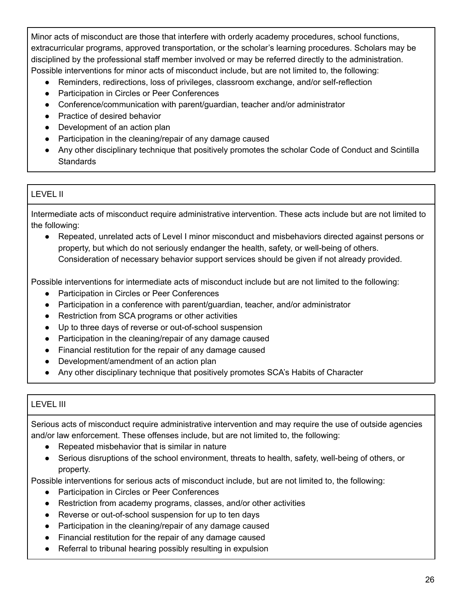Minor acts of misconduct are those that interfere with orderly academy procedures, school functions, extracurricular programs, approved transportation, or the scholar's learning procedures. Scholars may be disciplined by the professional staff member involved or may be referred directly to the administration. Possible interventions for minor acts of misconduct include, but are not limited to, the following:

- Reminders, redirections, loss of privileges, classroom exchange, and/or self-reflection
- Participation in Circles or Peer Conferences
- Conference/communication with parent/guardian, teacher and/or administrator
- Practice of desired behavior
- Development of an action plan
- Participation in the cleaning/repair of any damage caused
- Any other disciplinary technique that positively promotes the scholar Code of Conduct and Scintilla **Standards**

## LEVEL II

Intermediate acts of misconduct require administrative intervention. These acts include but are not limited to the following:

● Repeated, unrelated acts of Level I minor misconduct and misbehaviors directed against persons or property, but which do not seriously endanger the health, safety, or well-being of others. Consideration of necessary behavior support services should be given if not already provided.

Possible interventions for intermediate acts of misconduct include but are not limited to the following:

- Participation in Circles or Peer Conferences
- Participation in a conference with parent/guardian, teacher, and/or administrator
- Restriction from SCA programs or other activities
- Up to three days of reverse or out-of-school suspension
- Participation in the cleaning/repair of any damage caused
- Financial restitution for the repair of any damage caused
- Development/amendment of an action plan
- Any other disciplinary technique that positively promotes SCA's Habits of Character

## LEVEL III

Serious acts of misconduct require administrative intervention and may require the use of outside agencies and/or law enforcement. These offenses include, but are not limited to, the following:

- Repeated misbehavior that is similar in nature
- Serious disruptions of the school environment, threats to health, safety, well-being of others, or property.

Possible interventions for serious acts of misconduct include, but are not limited to, the following:

- Participation in Circles or Peer Conferences
- Restriction from academy programs, classes, and/or other activities
- Reverse or out-of-school suspension for up to ten days
- Participation in the cleaning/repair of any damage caused
- Financial restitution for the repair of any damage caused
- Referral to tribunal hearing possibly resulting in expulsion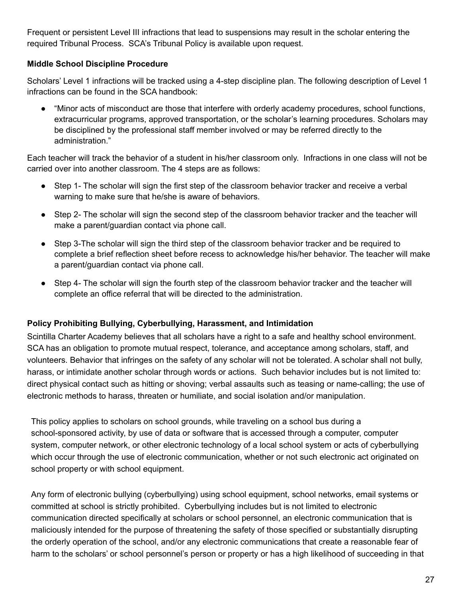Frequent or persistent Level III infractions that lead to suspensions may result in the scholar entering the required Tribunal Process. SCA's Tribunal Policy is available upon request.

## **Middle School Discipline Procedure**

Scholars' Level 1 infractions will be tracked using a 4-step discipline plan. The following description of Level 1 infractions can be found in the SCA handbook:

"Minor acts of misconduct are those that interfere with orderly academy procedures, school functions, extracurricular programs, approved transportation, or the scholar's learning procedures. Scholars may be disciplined by the professional staff member involved or may be referred directly to the administration."

Each teacher will track the behavior of a student in his/her classroom only. Infractions in one class will not be carried over into another classroom. The 4 steps are as follows:

- Step 1- The scholar will sign the first step of the classroom behavior tracker and receive a verbal warning to make sure that he/she is aware of behaviors.
- Step 2- The scholar will sign the second step of the classroom behavior tracker and the teacher will make a parent/guardian contact via phone call.
- Step 3-The scholar will sign the third step of the classroom behavior tracker and be required to complete a brief reflection sheet before recess to acknowledge his/her behavior. The teacher will make a parent/guardian contact via phone call.
- Step 4- The scholar will sign the fourth step of the classroom behavior tracker and the teacher will complete an office referral that will be directed to the administration.

## **Policy Prohibiting Bullying, Cyberbullying, Harassment, and Intimidation**

Scintilla Charter Academy believes that all scholars have a right to a safe and healthy school environment. SCA has an obligation to promote mutual respect, tolerance, and acceptance among scholars, staff, and volunteers. Behavior that infringes on the safety of any scholar will not be tolerated. A scholar shall not bully, harass, or intimidate another scholar through words or actions. Such behavior includes but is not limited to: direct physical contact such as hitting or shoving; verbal assaults such as teasing or name-calling; the use of electronic methods to harass, threaten or humiliate, and social isolation and/or manipulation.

This policy applies to scholars on school grounds, while traveling on a school bus during a school-sponsored activity, by use of data or software that is accessed through a computer, computer system, computer network, or other electronic technology of a local school system or acts of cyberbullying which occur through the use of electronic communication, whether or not such electronic act originated on school property or with school equipment.

Any form of electronic bullying (cyberbullying) using school equipment, school networks, email systems or committed at school is strictly prohibited. Cyberbullying includes but is not limited to electronic communication directed specifically at scholars or school personnel, an electronic communication that is maliciously intended for the purpose of threatening the safety of those specified or substantially disrupting the orderly operation of the school, and/or any electronic communications that create a reasonable fear of harm to the scholars' or school personnel's person or property or has a high likelihood of succeeding in that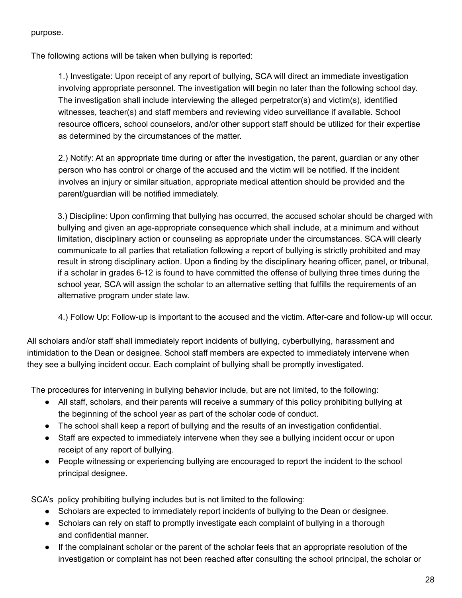#### purpose.

The following actions will be taken when bullying is reported:

1.) Investigate: Upon receipt of any report of bullying, SCA will direct an immediate investigation involving appropriate personnel. The investigation will begin no later than the following school day. The investigation shall include interviewing the alleged perpetrator(s) and victim(s), identified witnesses, teacher(s) and staff members and reviewing video surveillance if available. School resource officers, school counselors, and/or other support staff should be utilized for their expertise as determined by the circumstances of the matter.

2.) Notify: At an appropriate time during or after the investigation, the parent, guardian or any other person who has control or charge of the accused and the victim will be notified. If the incident involves an injury or similar situation, appropriate medical attention should be provided and the parent/guardian will be notified immediately.

3.) Discipline: Upon confirming that bullying has occurred, the accused scholar should be charged with bullying and given an age-appropriate consequence which shall include, at a minimum and without limitation, disciplinary action or counseling as appropriate under the circumstances. SCA will clearly communicate to all parties that retaliation following a report of bullying is strictly prohibited and may result in strong disciplinary action. Upon a finding by the disciplinary hearing officer, panel, or tribunal, if a scholar in grades 6-12 is found to have committed the offense of bullying three times during the school year, SCA will assign the scholar to an alternative setting that fulfills the requirements of an alternative program under state law.

4.) Follow Up: Follow-up is important to the accused and the victim. After-care and follow-up will occur.

All scholars and/or staff shall immediately report incidents of bullying, cyberbullying, harassment and intimidation to the Dean or designee. School staff members are expected to immediately intervene when they see a bullying incident occur. Each complaint of bullying shall be promptly investigated.

The procedures for intervening in bullying behavior include, but are not limited, to the following:

- All staff, scholars, and their parents will receive a summary of this policy prohibiting bullying at the beginning of the school year as part of the scholar code of conduct.
- The school shall keep a report of bullying and the results of an investigation confidential.
- Staff are expected to immediately intervene when they see a bullying incident occur or upon receipt of any report of bullying.
- People witnessing or experiencing bullying are encouraged to report the incident to the school principal designee.

SCA's policy prohibiting bullying includes but is not limited to the following:

- Scholars are expected to immediately report incidents of bullying to the Dean or designee.
- Scholars can rely on staff to promptly investigate each complaint of bullying in a thorough and confidential manner.
- If the complainant scholar or the parent of the scholar feels that an appropriate resolution of the investigation or complaint has not been reached after consulting the school principal, the scholar or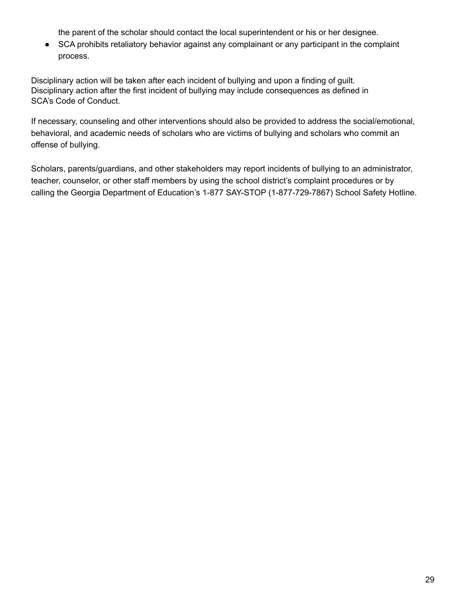the parent of the scholar should contact the local superintendent or his or her designee.

● SCA prohibits retaliatory behavior against any complainant or any participant in the complaint process.

Disciplinary action will be taken after each incident of bullying and upon a finding of guilt. Disciplinary action after the first incident of bullying may include consequences as defined in SCA's Code of Conduct.

If necessary, counseling and other interventions should also be provided to address the social/emotional, behavioral, and academic needs of scholars who are victims of bullying and scholars who commit an offense of bullying.

Scholars, parents/guardians, and other stakeholders may report incidents of bullying to an administrator, teacher, counselor, or other staff members by using the school district's complaint procedures or by calling the Georgia Department of Education's 1-877 SAY-STOP (1-877-729-7867) School Safety Hotline.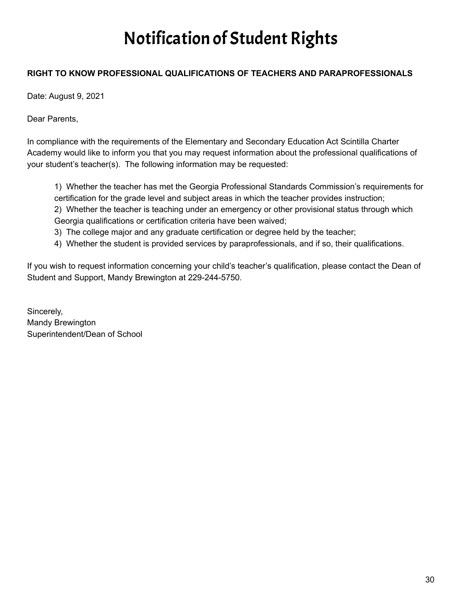# Notification of Student Rights

## **RIGHT TO KNOW PROFESSIONAL QUALIFICATIONS OF TEACHERS AND PARAPROFESSIONALS**

Date: August 9, 2021

Dear Parents,

In compliance with the requirements of the Elementary and Secondary Education Act Scintilla Charter Academy would like to inform you that you may request information about the professional qualifications of your student's teacher(s). The following information may be requested:

1) Whether the teacher has met the Georgia Professional Standards Commission's requirements for certification for the grade level and subject areas in which the teacher provides instruction; 2) Whether the teacher is teaching under an emergency or other provisional status through which Georgia qualifications or certification criteria have been waived;

- 3) The college major and any graduate certification or degree held by the teacher;
- 4) Whether the student is provided services by paraprofessionals, and if so, their qualifications.

If you wish to request information concerning your child's teacher's qualification, please contact the Dean of Student and Support, Mandy Brewington at 229-244-5750.

Sincerely, Mandy Brewington Superintendent/Dean of School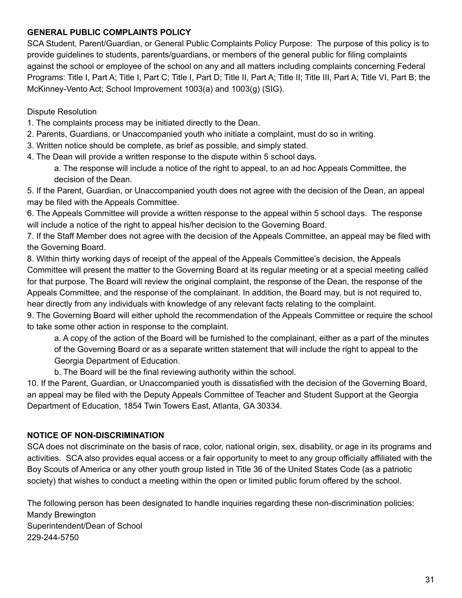## **GENERAL PUBLIC COMPLAINTS POLICY**

SCA Student, Parent/Guardian, or General Public Complaints Policy Purpose: The purpose of this policy is to provide guidelines to students, parents/guardians, or members of the general public for filing complaints against the school or employee of the school on any and all matters including complaints concerning Federal Programs: Title I, Part A; Title I, Part C; Title I, Part D; Title II, Part A; Title II; Title III, Part A; Title VI, Part B; the McKinney-Vento Act; School Improvement 1003(a) and 1003(g) (SIG).

## Dispute Resolution

- 1. The complaints process may be initiated directly to the Dean.
- 2. Parents, Guardians, or Unaccompanied youth who initiate a complaint, must do so in writing.
- 3. Written notice should be complete, as brief as possible, and simply stated.
- 4. The Dean will provide a written response to the dispute within 5 school days.

a. The response will include a notice of the right to appeal, to an ad hoc Appeals Committee, the decision of the Dean.

5. If the Parent, Guardian, or Unaccompanied youth does not agree with the decision of the Dean, an appeal may be filed with the Appeals Committee.

6. The Appeals Committee will provide a written response to the appeal within 5 school days. The response will include a notice of the right to appeal his/her decision to the Governing Board.

7. If the Staff Member does not agree with the decision of the Appeals Committee, an appeal may be filed with the Governing Board.

8. Within thirty working days of receipt of the appeal of the Appeals Committee's decision, the Appeals Committee will present the matter to the Governing Board at its regular meeting or at a special meeting called for that purpose. The Board will review the original complaint, the response of the Dean, the response of the Appeals Committee, and the response of the complainant. In addition, the Board may, but is not required to, hear directly from any individuals with knowledge of any relevant facts relating to the complaint.

9. The Governing Board will either uphold the recommendation of the Appeals Committee or require the school to take some other action in response to the complaint.

a. A copy of the action of the Board will be furnished to the complainant, either as a part of the minutes of the Governing Board or as a separate written statement that will include the right to appeal to the Georgia Department of Education.

b. The Board will be the final reviewing authority within the school.

10. If the Parent, Guardian, or Unaccompanied youth is dissatisfied with the decision of the Governing Board, an appeal may be filed with the Deputy Appeals Committee of Teacher and Student Support at the Georgia Department of Education, 1854 Twin Towers East, Atlanta, GA 30334.

## **NOTICE OF NON-DISCRIMINATION**

SCA does not discriminate on the basis of race, color, national origin, sex, disability, or age in its programs and activities. SCA also provides equal access or a fair opportunity to meet to any group officially affiliated with the Boy Scouts of America or any other youth group listed in Title 36 of the United States Code (as a patriotic society) that wishes to conduct a meeting within the open or limited public forum offered by the school.

The following person has been designated to handle inquiries regarding these non-discrimination policies: Mandy Brewington Superintendent/Dean of School 229-244-5750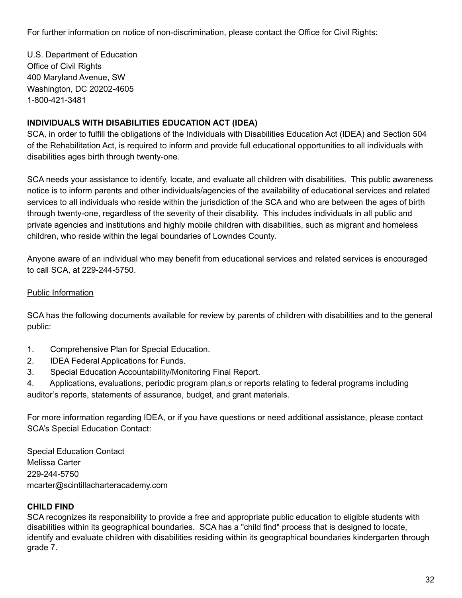For further information on notice of non-discrimination, please contact the Office for Civil Rights:

U.S. Department of Education Office of Civil Rights 400 Maryland Avenue, SW Washington, DC 20202-4605 1-800-421-3481

## **INDIVIDUALS WITH DISABILITIES EDUCATION ACT (IDEA)**

SCA, in order to fulfill the obligations of the Individuals with Disabilities Education Act (IDEA) and Section 504 of the Rehabilitation Act, is required to inform and provide full educational opportunities to all individuals with disabilities ages birth through twenty-one.

SCA needs your assistance to identify, locate, and evaluate all children with disabilities. This public awareness notice is to inform parents and other individuals/agencies of the availability of educational services and related services to all individuals who reside within the jurisdiction of the SCA and who are between the ages of birth through twenty-one, regardless of the severity of their disability. This includes individuals in all public and private agencies and institutions and highly mobile children with disabilities, such as migrant and homeless children, who reside within the legal boundaries of Lowndes County.

Anyone aware of an individual who may benefit from educational services and related services is encouraged to call SCA, at 229-244-5750.

## Public Information

SCA has the following documents available for review by parents of children with disabilities and to the general public:

- 1. Comprehensive Plan for Special Education.
- 2. IDEA Federal Applications for Funds.
- 3. Special Education Accountability/Monitoring Final Report.

4. Applications, evaluations, periodic program plan,s or reports relating to federal programs including auditor's reports, statements of assurance, budget, and grant materials.

For more information regarding IDEA, or if you have questions or need additional assistance, please contact SCA's Special Education Contact:

Special Education Contact Melissa Carter 229-244-5750 mcarter@scintillacharteracademy.com

## **CHILD FIND**

SCA recognizes its responsibility to provide a free and appropriate public education to eligible students with disabilities within its geographical boundaries. SCA has a "child find" process that is designed to locate, identify and evaluate children with disabilities residing within its geographical boundaries kindergarten through grade 7.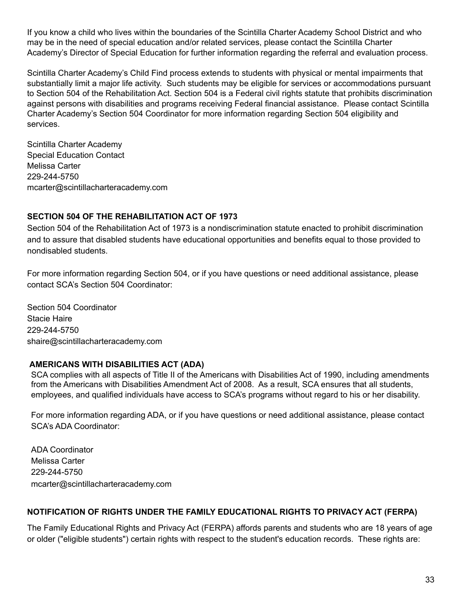If you know a child who lives within the boundaries of the Scintilla Charter Academy School District and who may be in the need of special education and/or related services, please contact the Scintilla Charter Academy's Director of Special Education for further information regarding the referral and evaluation process.

Scintilla Charter Academy's Child Find process extends to students with physical or mental impairments that substantially limit a major life activity. Such students may be eligible for services or accommodations pursuant to Section 504 of the Rehabilitation Act. Section 504 is a Federal civil rights statute that prohibits discrimination against persons with disabilities and programs receiving Federal financial assistance. Please contact Scintilla Charter Academy's Section 504 Coordinator for more information regarding Section 504 eligibility and services.

Scintilla Charter Academy Special Education Contact Melissa Carter 229-244-5750 mcarter@scintillacharteracademy.com

## **SECTION 504 OF THE REHABILITATION ACT OF 1973**

Section 504 of the Rehabilitation Act of 1973 is a nondiscrimination statute enacted to prohibit discrimination and to assure that disabled students have educational opportunities and benefits equal to those provided to nondisabled students.

For more information regarding Section 504, or if you have questions or need additional assistance, please contact SCA's Section 504 Coordinator:

Section 504 Coordinator Stacie Haire 229-244-5750 shaire[@scintillacharteracademy.com](mailto:modom@scintillacharteracademy.com)

## **AMERICANS WITH DISABILITIES ACT (ADA)**

SCA complies with all aspects of Title II of the Americans with Disabilities Act of 1990, including amendments from the Americans with Disabilities Amendment Act of 2008. As a result, SCA ensures that all students, employees, and qualified individuals have access to SCA's programs without regard to his or her disability.

For more information regarding ADA, or if you have questions or need additional assistance, please contact SCA's ADA Coordinator:

ADA Coordinator Melissa Carter 229-244-5750 [mcarter@scintillacharteracademy.com](mailto:modom@scintillacharteracademy.com)

## **NOTIFICATION OF RIGHTS UNDER THE FAMILY EDUCATIONAL RIGHTS TO PRIVACY ACT (FERPA)**

The Family Educational Rights and Privacy Act (FERPA) affords parents and students who are 18 years of age or older ("eligible students") certain rights with respect to the student's education records. These rights are: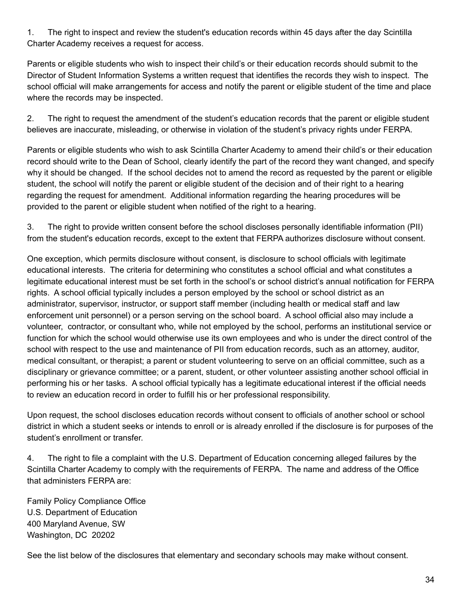1. The right to inspect and review the student's education records within 45 days after the day Scintilla Charter Academy receives a request for access.

Parents or eligible students who wish to inspect their child's or their education records should submit to the Director of Student Information Systems a written request that identifies the records they wish to inspect. The school official will make arrangements for access and notify the parent or eligible student of the time and place where the records may be inspected.

2. The right to request the amendment of the student's education records that the parent or eligible student believes are inaccurate, misleading, or otherwise in violation of the student's privacy rights under FERPA.

Parents or eligible students who wish to ask Scintilla Charter Academy to amend their child's or their education record should write to the Dean of School, clearly identify the part of the record they want changed, and specify why it should be changed. If the school decides not to amend the record as requested by the parent or eligible student, the school will notify the parent or eligible student of the decision and of their right to a hearing regarding the request for amendment. Additional information regarding the hearing procedures will be provided to the parent or eligible student when notified of the right to a hearing.

3. The right to provide written consent before the school discloses personally identifiable information (PII) from the student's education records, except to the extent that FERPA authorizes disclosure without consent.

One exception, which permits disclosure without consent, is disclosure to school officials with legitimate educational interests. The criteria for determining who constitutes a school official and what constitutes a legitimate educational interest must be set forth in the school's or school district's annual notification for FERPA rights. A school official typically includes a person employed by the school or school district as an administrator, supervisor, instructor, or support staff member (including health or medical staff and law enforcement unit personnel) or a person serving on the school board. A school official also may include a volunteer, contractor, or consultant who, while not employed by the school, performs an institutional service or function for which the school would otherwise use its own employees and who is under the direct control of the school with respect to the use and maintenance of PII from education records, such as an attorney, auditor, medical consultant, or therapist; a parent or student volunteering to serve on an official committee, such as a disciplinary or grievance committee; or a parent, student, or other volunteer assisting another school official in performing his or her tasks. A school official typically has a legitimate educational interest if the official needs to review an education record in order to fulfill his or her professional responsibility.

Upon request, the school discloses education records without consent to officials of another school or school district in which a student seeks or intends to enroll or is already enrolled if the disclosure is for purposes of the student's enrollment or transfer.

4. The right to file a complaint with the U.S. Department of Education concerning alleged failures by the Scintilla Charter Academy to comply with the requirements of FERPA. The name and address of the Office that administers FERPA are:

Family Policy Compliance Office U.S. Department of Education 400 Maryland Avenue, SW Washington, DC 20202

See the list below of the disclosures that elementary and secondary schools may make without consent.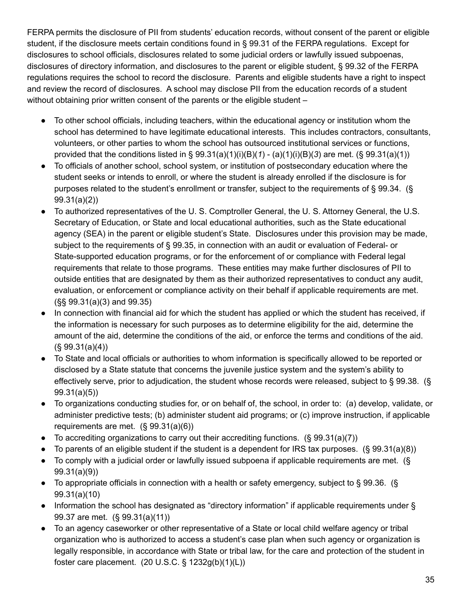FERPA permits the disclosure of PII from students' education records, without consent of the parent or eligible student, if the disclosure meets certain conditions found in § 99.31 of the FERPA regulations. Except for disclosures to school officials, disclosures related to some judicial orders or lawfully issued subpoenas, disclosures of directory information, and disclosures to the parent or eligible student, § 99.32 of the FERPA regulations requires the school to record the disclosure. Parents and eligible students have a right to inspect and review the record of disclosures. A school may disclose PII from the education records of a student without obtaining prior written consent of the parents or the eligible student –

- To other school officials, including teachers, within the educational agency or institution whom the school has determined to have legitimate educational interests. This includes contractors, consultants, volunteers, or other parties to whom the school has outsourced institutional services or functions, provided that the conditions listed in § 99.31(a)(1)(i)(B)(*1*) - (a)(1)(i)(B)(*3*) are met. (§ 99.31(a)(1))
- To officials of another school, school system, or institution of postsecondary education where the student seeks or intends to enroll, or where the student is already enrolled if the disclosure is for purposes related to the student's enrollment or transfer, subject to the requirements of § 99.34. (§ 99.31(a)(2))
- To authorized representatives of the U. S. Comptroller General, the U. S. Attorney General, the U.S. Secretary of Education, or State and local educational authorities, such as the State educational agency (SEA) in the parent or eligible student's State. Disclosures under this provision may be made, subject to the requirements of § 99.35, in connection with an audit or evaluation of Federal- or State-supported education programs, or for the enforcement of or compliance with Federal legal requirements that relate to those programs. These entities may make further disclosures of PII to outside entities that are designated by them as their authorized representatives to conduct any audit, evaluation, or enforcement or compliance activity on their behalf if applicable requirements are met. (§§ 99.31(a)(3) and 99.35)
- In connection with financial aid for which the student has applied or which the student has received, if the information is necessary for such purposes as to determine eligibility for the aid, determine the amount of the aid, determine the conditions of the aid, or enforce the terms and conditions of the aid.  $(S, 99.31(a)(4))$
- To State and local officials or authorities to whom information is specifically allowed to be reported or disclosed by a State statute that concerns the juvenile justice system and the system's ability to effectively serve, prior to adjudication, the student whose records were released, subject to § 99.38. (§ 99.31(a)(5))
- To organizations conducting studies for, or on behalf of, the school, in order to: (a) develop, validate, or administer predictive tests; (b) administer student aid programs; or (c) improve instruction, if applicable requirements are met. (§ 99.31(a)(6))
- To accrediting organizations to carry out their accrediting functions.  $(\S 99.31(a)(7))$
- To parents of an eligible student if the student is a dependent for IRS tax purposes. (§ 99.31(a)(8))
- To comply with a judicial order or lawfully issued subpoena if applicable requirements are met. (§ 99.31(a)(9))
- To appropriate officials in connection with a health or safety emergency, subject to § 99.36. (§ 99.31(a)(10)
- Information the school has designated as "directory information" if applicable requirements under § 99.37 are met. (§ 99.31(a)(11))
- To an agency caseworker or other representative of a State or local child welfare agency or tribal organization who is authorized to access a student's case plan when such agency or organization is legally responsible, in accordance with State or tribal law, for the care and protection of the student in foster care placement. (20 U.S.C. § 1232g(b)(1)(L))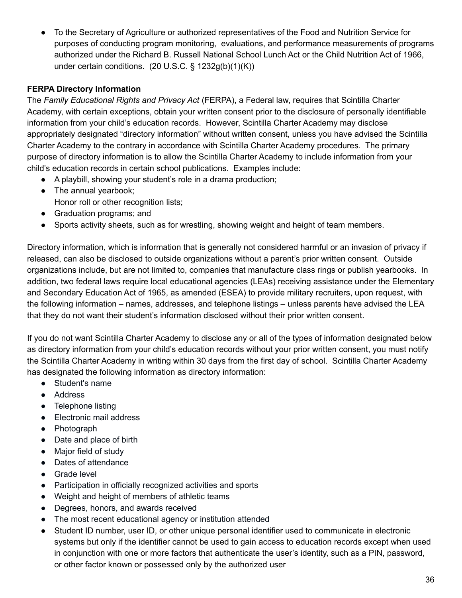To the Secretary of Agriculture or authorized representatives of the Food and Nutrition Service for purposes of conducting program monitoring, evaluations, and performance measurements of programs authorized under the Richard B. Russell National School Lunch Act or the Child Nutrition Act of 1966, under certain conditions. (20 U.S.C. § 1232g(b)(1)(K))

## **FERPA Directory Information**

The *Family Educational Rights and Privacy Act* (FERPA), a Federal law, requires that Scintilla Charter Academy, with certain exceptions, obtain your written consent prior to the disclosure of personally identifiable information from your child's education records. However, Scintilla Charter Academy may disclose appropriately designated "directory information" without written consent, unless you have advised the Scintilla Charter Academy to the contrary in accordance with Scintilla Charter Academy procedures. The primary purpose of directory information is to allow the Scintilla Charter Academy to include information from your child's education records in certain school publications. Examples include:

- A playbill, showing your student's role in a drama production;
- The annual yearbook; Honor roll or other recognition lists;
- Graduation programs; and
- Sports activity sheets, such as for wrestling, showing weight and height of team members.

Directory information, which is information that is generally not considered harmful or an invasion of privacy if released, can also be disclosed to outside organizations without a parent's prior written consent. Outside organizations include, but are not limited to, companies that manufacture class rings or publish yearbooks. In addition, two federal laws require local educational agencies (LEAs) receiving assistance under the Elementary and Secondary Education Act of 1965, as amended (ESEA) to provide military recruiters, upon request, with the following information – names, addresses, and telephone listings – unless parents have advised the LEA that they do not want their student's information disclosed without their prior written consent.

If you do not want Scintilla Charter Academy to disclose any or all of the types of information designated below as directory information from your child's education records without your prior written consent, you must notify the Scintilla Charter Academy in writing within 30 days from the first day of school. Scintilla Charter Academy has designated the following information as directory information:

- Student's name
- Address
- Telephone listing
- Electronic mail address
- Photograph
- Date and place of birth
- Major field of study
- Dates of attendance
- Grade level
- Participation in officially recognized activities and sports
- Weight and height of members of athletic teams
- Degrees, honors, and awards received
- The most recent educational agency or institution attended
- Student ID number, user ID, or other unique personal identifier used to communicate in electronic systems but only if the identifier cannot be used to gain access to education records except when used in conjunction with one or more factors that authenticate the user's identity, such as a PIN, password, or other factor known or possessed only by the authorized user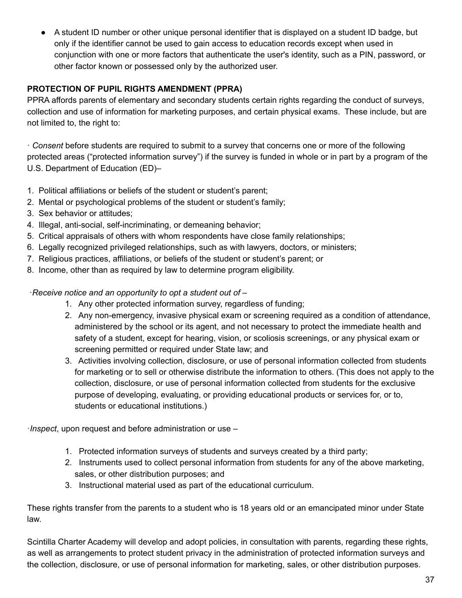A student ID number or other unique personal identifier that is displayed on a student ID badge, but only if the identifier cannot be used to gain access to education records except when used in conjunction with one or more factors that authenticate the user's identity, such as a PIN, password, or other factor known or possessed only by the authorized user.

## **PROTECTION OF PUPIL RIGHTS AMENDMENT (PPRA)**

PPRA affords parents of elementary and secondary students certain rights regarding the conduct of surveys, collection and use of information for marketing purposes, and certain physical exams. These include, but are not limited to, the right to:

· *Consent* before students are required to submit to a survey that concerns one or more of the following protected areas ("protected information survey") if the survey is funded in whole or in part by a program of the U.S. Department of Education (ED)–

- 1. Political affiliations or beliefs of the student or student's parent;
- 2. Mental or psychological problems of the student or student's family;
- 3. Sex behavior or attitudes;
- 4. Illegal, anti-social, self-incriminating, or demeaning behavior;
- 5. Critical appraisals of others with whom respondents have close family relationships;
- 6. Legally recognized privileged relationships, such as with lawyers, doctors, or ministers;
- 7. Religious practices, affiliations, or beliefs of the student or student's parent; or
- 8. Income, other than as required by law to determine program eligibility.

·*Receive notice and an opportunity to opt a student out of* –

- 1. Any other protected information survey, regardless of funding;
- 2. Any non-emergency, invasive physical exam or screening required as a condition of attendance, administered by the school or its agent, and not necessary to protect the immediate health and safety of a student, except for hearing, vision, or scoliosis screenings, or any physical exam or screening permitted or required under State law; and
- 3. Activities involving collection, disclosure, or use of personal information collected from students for marketing or to sell or otherwise distribute the information to others. (This does not apply to the collection, disclosure, or use of personal information collected from students for the exclusive purpose of developing, evaluating, or providing educational products or services for, or to, students or educational institutions.)

·*Inspect*, upon request and before administration or use –

- 1. Protected information surveys of students and surveys created by a third party;
- 2. Instruments used to collect personal information from students for any of the above marketing, sales, or other distribution purposes; and
- 3. Instructional material used as part of the educational curriculum.

These rights transfer from the parents to a student who is 18 years old or an emancipated minor under State law.

Scintilla Charter Academy will develop and adopt policies, in consultation with parents, regarding these rights, as well as arrangements to protect student privacy in the administration of protected information surveys and the collection, disclosure, or use of personal information for marketing, sales, or other distribution purposes.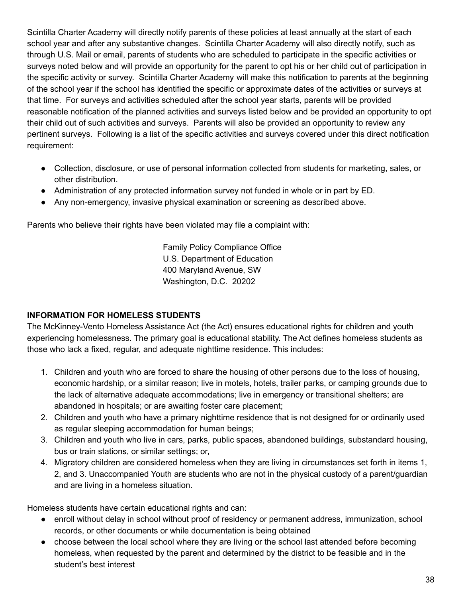Scintilla Charter Academy will directly notify parents of these policies at least annually at the start of each school year and after any substantive changes. Scintilla Charter Academy will also directly notify, such as through U.S. Mail or email, parents of students who are scheduled to participate in the specific activities or surveys noted below and will provide an opportunity for the parent to opt his or her child out of participation in the specific activity or survey. Scintilla Charter Academy will make this notification to parents at the beginning of the school year if the school has identified the specific or approximate dates of the activities or surveys at that time. For surveys and activities scheduled after the school year starts, parents will be provided reasonable notification of the planned activities and surveys listed below and be provided an opportunity to opt their child out of such activities and surveys. Parents will also be provided an opportunity to review any pertinent surveys. Following is a list of the specific activities and surveys covered under this direct notification requirement:

- Collection, disclosure, or use of personal information collected from students for marketing, sales, or other distribution.
- Administration of any protected information survey not funded in whole or in part by ED.
- Any non-emergency, invasive physical examination or screening as described above.

Parents who believe their rights have been violated may file a complaint with:

Family Policy Compliance Office U.S. Department of Education 400 Maryland Avenue, SW Washington, D.C. 20202

## **INFORMATION FOR HOMELESS STUDENTS**

The McKinney-Vento Homeless Assistance Act (the Act) ensures educational rights for children and youth experiencing homelessness. The primary goal is educational stability. The Act defines homeless students as those who lack a fixed, regular, and adequate nighttime residence. This includes:

- 1. Children and youth who are forced to share the housing of other persons due to the loss of housing, economic hardship, or a similar reason; live in motels, hotels, trailer parks, or camping grounds due to the lack of alternative adequate accommodations; live in emergency or transitional shelters; are abandoned in hospitals; or are awaiting foster care placement;
- 2. Children and youth who have a primary nighttime residence that is not designed for or ordinarily used as regular sleeping accommodation for human beings;
- 3. Children and youth who live in cars, parks, public spaces, abandoned buildings, substandard housing, bus or train stations, or similar settings; or,
- 4. Migratory children are considered homeless when they are living in circumstances set forth in items 1, 2, and 3. Unaccompanied Youth are students who are not in the physical custody of a parent/guardian and are living in a homeless situation.

Homeless students have certain educational rights and can:

- enroll without delay in school without proof of residency or permanent address, immunization, school records, or other documents or while documentation is being obtained
- choose between the local school where they are living or the school last attended before becoming homeless, when requested by the parent and determined by the district to be feasible and in the student's best interest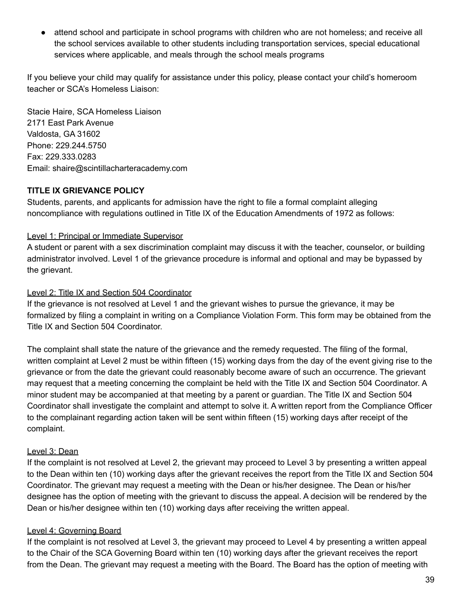● attend school and participate in school programs with children who are not homeless; and receive all the school services available to other students including transportation services, special educational services where applicable, and meals through the school meals programs

If you believe your child may qualify for assistance under this policy, please contact your child's homeroom teacher or SCA's Homeless Liaison:

Stacie Haire, SCA Homeless Liaison 2171 East Park Avenue Valdosta, GA 31602 Phone: 229.244.5750 Fax: 229.333.0283 Email: shaire@scintillacharteracademy.com

## **TITLE IX GRIEVANCE POLICY**

Students, parents, and applicants for admission have the right to file a formal complaint alleging noncompliance with regulations outlined in Title IX of the Education Amendments of 1972 as follows:

## Level 1: Principal or Immediate Supervisor

A student or parent with a sex discrimination complaint may discuss it with the teacher, counselor, or building administrator involved. Level 1 of the grievance procedure is informal and optional and may be bypassed by the grievant.

## Level 2: Title IX and Section 504 Coordinator

If the grievance is not resolved at Level 1 and the grievant wishes to pursue the grievance, it may be formalized by filing a complaint in writing on a Compliance Violation Form. This form may be obtained from the Title IX and Section 504 Coordinator.

The complaint shall state the nature of the grievance and the remedy requested. The filing of the formal, written complaint at Level 2 must be within fifteen (15) working days from the day of the event giving rise to the grievance or from the date the grievant could reasonably become aware of such an occurrence. The grievant may request that a meeting concerning the complaint be held with the Title IX and Section 504 Coordinator. A minor student may be accompanied at that meeting by a parent or guardian. The Title IX and Section 504 Coordinator shall investigate the complaint and attempt to solve it. A written report from the Compliance Officer to the complainant regarding action taken will be sent within fifteen (15) working days after receipt of the complaint.

## Level 3: Dean

If the complaint is not resolved at Level 2, the grievant may proceed to Level 3 by presenting a written appeal to the Dean within ten (10) working days after the grievant receives the report from the Title IX and Section 504 Coordinator. The grievant may request a meeting with the Dean or his/her designee. The Dean or his/her designee has the option of meeting with the grievant to discuss the appeal. A decision will be rendered by the Dean or his/her designee within ten (10) working days after receiving the written appeal.

## Level 4: Governing Board

If the complaint is not resolved at Level 3, the grievant may proceed to Level 4 by presenting a written appeal to the Chair of the SCA Governing Board within ten (10) working days after the grievant receives the report from the Dean. The grievant may request a meeting with the Board. The Board has the option of meeting with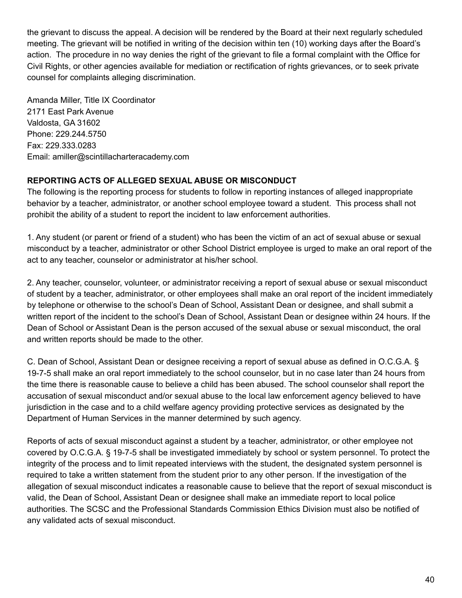the grievant to discuss the appeal. A decision will be rendered by the Board at their next regularly scheduled meeting. The grievant will be notified in writing of the decision within ten (10) working days after the Board's action. The procedure in no way denies the right of the grievant to file a formal complaint with the Office for Civil Rights, or other agencies available for mediation or rectification of rights grievances, or to seek private counsel for complaints alleging discrimination.

Amanda Miller, Title IX Coordinator 2171 East Park Avenue Valdosta, GA 31602 Phone: 229.244.5750 Fax: 229.333.0283 Email: amiller@scintillacharteracademy.com

## **REPORTING ACTS OF ALLEGED SEXUAL ABUSE OR MISCONDUCT**

The following is the reporting process for students to follow in reporting instances of alleged inappropriate behavior by a teacher, administrator, or another school employee toward a student. This process shall not prohibit the ability of a student to report the incident to law enforcement authorities.

1. Any student (or parent or friend of a student) who has been the victim of an act of sexual abuse or sexual misconduct by a teacher, administrator or other School District employee is urged to make an oral report of the act to any teacher, counselor or administrator at his/her school.

2. Any teacher, counselor, volunteer, or administrator receiving a report of sexual abuse or sexual misconduct of student by a teacher, administrator, or other employees shall make an oral report of the incident immediately by telephone or otherwise to the school's Dean of School, Assistant Dean or designee, and shall submit a written report of the incident to the school's Dean of School, Assistant Dean or designee within 24 hours. If the Dean of School or Assistant Dean is the person accused of the sexual abuse or sexual misconduct, the oral and written reports should be made to the other.

C. Dean of School, Assistant Dean or designee receiving a report of sexual abuse as defined in O.C.G.A. § 19-7-5 shall make an oral report immediately to the school counselor, but in no case later than 24 hours from the time there is reasonable cause to believe a child has been abused. The school counselor shall report the accusation of sexual misconduct and/or sexual abuse to the local law enforcement agency believed to have jurisdiction in the case and to a child welfare agency providing protective services as designated by the Department of Human Services in the manner determined by such agency.

Reports of acts of sexual misconduct against a student by a teacher, administrator, or other employee not covered by O.C.G.A. § 19-7-5 shall be investigated immediately by school or system personnel. To protect the integrity of the process and to limit repeated interviews with the student, the designated system personnel is required to take a written statement from the student prior to any other person. If the investigation of the allegation of sexual misconduct indicates a reasonable cause to believe that the report of sexual misconduct is valid, the Dean of School, Assistant Dean or designee shall make an immediate report to local police authorities. The SCSC and the Professional Standards Commission Ethics Division must also be notified of any validated acts of sexual misconduct.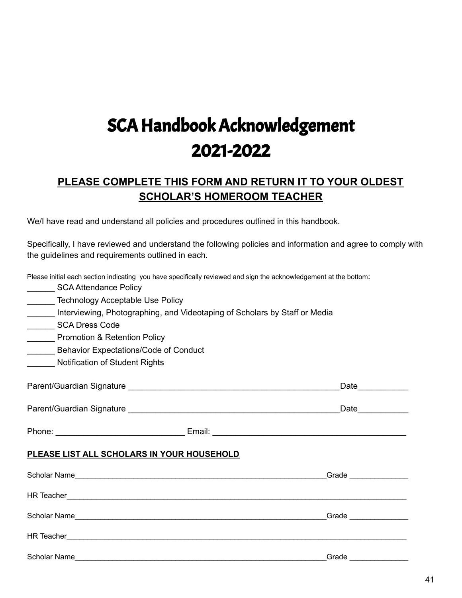# SCA Handbook Acknowledgement 2021-2022

## **PLEASE COMPLETE THIS FORM AND RETURN IT TO YOUR OLDEST SCHOLAR'S HOMEROOM TEACHER**

We/I have read and understand all policies and procedures outlined in this handbook.

Specifically, I have reviewed and understand the following policies and information and agree to comply with the guidelines and requirements outlined in each.

| Please initial each section indicating you have specifically reviewed and sign the acknowledgement at the bottom:<br>SCA Attendance Policy |                                                                                                                 |  |  |  |
|--------------------------------------------------------------------------------------------------------------------------------------------|-----------------------------------------------------------------------------------------------------------------|--|--|--|
| Technology Acceptable Use Policy                                                                                                           |                                                                                                                 |  |  |  |
| Interviewing, Photographing, and Videotaping of Scholars by Staff or Media                                                                 |                                                                                                                 |  |  |  |
| _________ SCA Dress Code                                                                                                                   |                                                                                                                 |  |  |  |
| _______ Promotion & Retention Policy                                                                                                       |                                                                                                                 |  |  |  |
| _______ Behavior Expectations/Code of Conduct                                                                                              |                                                                                                                 |  |  |  |
| Notification of Student Rights                                                                                                             |                                                                                                                 |  |  |  |
|                                                                                                                                            | Date                                                                                                            |  |  |  |
|                                                                                                                                            | Date and the state of the state of the state of the state of the state of the state of the state of the state o |  |  |  |
|                                                                                                                                            |                                                                                                                 |  |  |  |
| PLEASE LIST ALL SCHOLARS IN YOUR HOUSEHOLD                                                                                                 |                                                                                                                 |  |  |  |
|                                                                                                                                            | $_G = 1$                                                                                                        |  |  |  |
|                                                                                                                                            |                                                                                                                 |  |  |  |
|                                                                                                                                            |                                                                                                                 |  |  |  |
|                                                                                                                                            |                                                                                                                 |  |  |  |
| <b>Scholar Name</b>                                                                                                                        | Grade                                                                                                           |  |  |  |